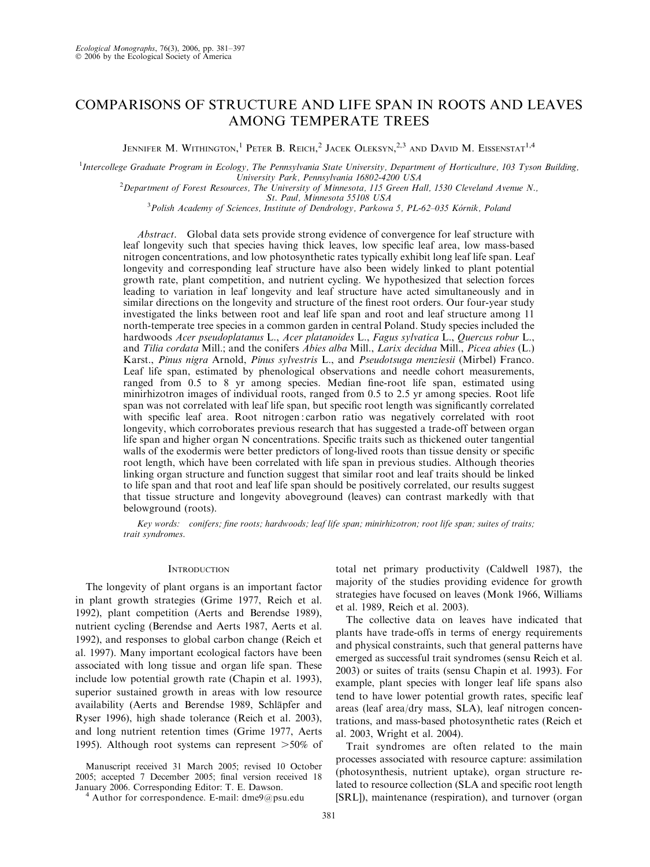# COMPARISONS OF STRUCTURE AND LIFE SPAN IN ROOTS AND LEAVES AMONG TEMPERATE TREES

JENNIFER M. WITHINGTON,<sup>1</sup> Peter B. Reich,<sup>2</sup> Jacek Oleksyn,<sup>2,3</sup> and David M. Eissenstat<sup>1,4</sup>

<sup>1</sup>Intercollege Graduate Program in Ecology, The Pennsylvania State University, Department of Horticulture, 103 Tyson Building, University Park, Pennsylvania 16802-4200 USA<br>2 Department of Forest Resources, The University of Minnesota, 115 Green Hall, 1530 Cleveland Avenue N.,

St. Paul, Minnesota 55108 USA<br><sup>3</sup>Polish Academy of Sciences, Institute of Dendrology, Parkowa 5, PL-62–035 Kórnik, Poland

Abstract. Global data sets provide strong evidence of convergence for leaf structure with leaf longevity such that species having thick leaves, low specific leaf area, low mass-based nitrogen concentrations, and low photosynthetic rates typically exhibit long leaf life span. Leaf longevity and corresponding leaf structure have also been widely linked to plant potential growth rate, plant competition, and nutrient cycling. We hypothesized that selection forces leading to variation in leaf longevity and leaf structure have acted simultaneously and in similar directions on the longevity and structure of the finest root orders. Our four-year study investigated the links between root and leaf life span and root and leaf structure among 11 north-temperate tree species in a common garden in central Poland. Study species included the hardwoods Acer pseudoplatanus L., Acer platanoides L., Fagus sylvatica L., Quercus robur L., and Tilia cordata Mill.; and the conifers Abies alba Mill., Larix decidua Mill., Picea abies (L.) Karst., Pinus nigra Arnold, Pinus sylvestris L., and Pseudotsuga menziesii (Mirbel) Franco. Leaf life span, estimated by phenological observations and needle cohort measurements, ranged from 0.5 to 8 yr among species. Median fine-root life span, estimated using minirhizotron images of individual roots, ranged from 0.5 to 2.5 yr among species. Root life span was not correlated with leaf life span, but specific root length was significantly correlated with specific leaf area. Root nitrogen : carbon ratio was negatively correlated with root longevity, which corroborates previous research that has suggested a trade-off between organ life span and higher organ N concentrations. Specific traits such as thickened outer tangential walls of the exodermis were better predictors of long-lived roots than tissue density or specific root length, which have been correlated with life span in previous studies. Although theories linking organ structure and function suggest that similar root and leaf traits should be linked to life span and that root and leaf life span should be positively correlated, our results suggest that tissue structure and longevity aboveground (leaves) can contrast markedly with that belowground (roots).

Key words: conifers; fine roots; hardwoods; leaf life span; minirhizotron; root life span; suites of traits; trait syndromes.

#### **INTRODUCTION**

The longevity of plant organs is an important factor in plant growth strategies (Grime 1977, Reich et al. 1992), plant competition (Aerts and Berendse 1989), nutrient cycling (Berendse and Aerts 1987, Aerts et al. 1992), and responses to global carbon change (Reich et al. 1997). Many important ecological factors have been associated with long tissue and organ life span. These include low potential growth rate (Chapin et al. 1993), superior sustained growth in areas with low resource availability (Aerts and Berendse 1989, Schläpfer and Ryser 1996), high shade tolerance (Reich et al. 2003), and long nutrient retention times (Grime 1977, Aerts 1995). Although root systems can represent  $>50\%$  of

Manuscript received 31 March 2005; revised 10 October 2005; accepted 7 December 2005; final version received 18 January 2006. Corresponding Editor: T. E. Dawson.

Author for correspondence. E-mail:  $\text{dme9}(a)$  psu.edu

total net primary productivity (Caldwell 1987), the majority of the studies providing evidence for growth strategies have focused on leaves (Monk 1966, Williams et al. 1989, Reich et al. 2003).

The collective data on leaves have indicated that plants have trade-offs in terms of energy requirements and physical constraints, such that general patterns have emerged as successful trait syndromes (sensu Reich et al. 2003) or suites of traits (sensu Chapin et al. 1993). For example, plant species with longer leaf life spans also tend to have lower potential growth rates, specific leaf areas (leaf area/dry mass, SLA), leaf nitrogen concentrations, and mass-based photosynthetic rates (Reich et al. 2003, Wright et al. 2004).

Trait syndromes are often related to the main processes associated with resource capture: assimilation (photosynthesis, nutrient uptake), organ structure related to resource collection (SLA and specific root length [SRL]), maintenance (respiration), and turnover (organ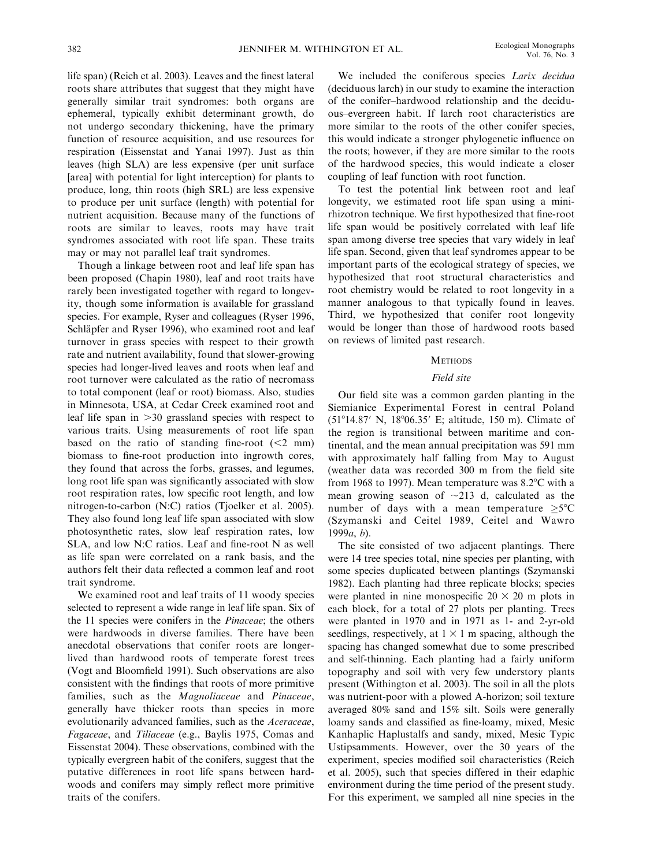life span) (Reich et al. 2003). Leaves and the finest lateral roots share attributes that suggest that they might have generally similar trait syndromes: both organs are ephemeral, typically exhibit determinant growth, do not undergo secondary thickening, have the primary function of resource acquisition, and use resources for respiration (Eissenstat and Yanai 1997). Just as thin leaves (high SLA) are less expensive (per unit surface [area] with potential for light interception) for plants to produce, long, thin roots (high SRL) are less expensive to produce per unit surface (length) with potential for nutrient acquisition. Because many of the functions of roots are similar to leaves, roots may have trait syndromes associated with root life span. These traits may or may not parallel leaf trait syndromes.

Though a linkage between root and leaf life span has been proposed (Chapin 1980), leaf and root traits have rarely been investigated together with regard to longevity, though some information is available for grassland species. For example, Ryser and colleagues (Ryser 1996, Schläpfer and Ryser 1996), who examined root and leaf turnover in grass species with respect to their growth rate and nutrient availability, found that slower-growing species had longer-lived leaves and roots when leaf and root turnover were calculated as the ratio of necromass to total component (leaf or root) biomass. Also, studies in Minnesota, USA, at Cedar Creek examined root and leaf life span in  $>30$  grassland species with respect to various traits. Using measurements of root life span based on the ratio of standing fine-root  $(< 2$  mm) biomass to fine-root production into ingrowth cores, they found that across the forbs, grasses, and legumes, long root life span was significantly associated with slow root respiration rates, low specific root length, and low nitrogen-to-carbon (N:C) ratios (Tjoelker et al. 2005). They also found long leaf life span associated with slow photosynthetic rates, slow leaf respiration rates, low SLA, and low N:C ratios. Leaf and fine-root N as well as life span were correlated on a rank basis, and the authors felt their data reflected a common leaf and root trait syndrome.

We examined root and leaf traits of 11 woody species selected to represent a wide range in leaf life span. Six of the 11 species were conifers in the Pinaceae; the others were hardwoods in diverse families. There have been anecdotal observations that conifer roots are longerlived than hardwood roots of temperate forest trees (Vogt and Bloomfield 1991). Such observations are also consistent with the findings that roots of more primitive families, such as the *Magnoliaceae* and *Pinaceae*, generally have thicker roots than species in more evolutionarily advanced families, such as the Aceraceae, Fagaceae, and Tiliaceae (e.g., Baylis 1975, Comas and Eissenstat 2004). These observations, combined with the typically evergreen habit of the conifers, suggest that the putative differences in root life spans between hardwoods and conifers may simply reflect more primitive traits of the conifers.

We included the coniferous species Larix decidua (deciduous larch) in our study to examine the interaction of the conifer–hardwood relationship and the deciduous–evergreen habit. If larch root characteristics are more similar to the roots of the other conifer species, this would indicate a stronger phylogenetic influence on the roots; however, if they are more similar to the roots of the hardwood species, this would indicate a closer coupling of leaf function with root function.

To test the potential link between root and leaf longevity, we estimated root life span using a minirhizotron technique. We first hypothesized that fine-root life span would be positively correlated with leaf life span among diverse tree species that vary widely in leaf life span. Second, given that leaf syndromes appear to be important parts of the ecological strategy of species, we hypothesized that root structural characteristics and root chemistry would be related to root longevity in a manner analogous to that typically found in leaves. Third, we hypothesized that conifer root longevity would be longer than those of hardwood roots based on reviews of limited past research.

#### **METHODS**

#### Field site

Our field site was a common garden planting in the Siemianice Experimental Forest in central Poland  $(51^{\circ}14.87^{\prime}$  N,  $18^{\circ}06.35^{\prime}$  E; altitude, 150 m). Climate of the region is transitional between maritime and continental, and the mean annual precipitation was 591 mm with approximately half falling from May to August (weather data was recorded 300 m from the field site from 1968 to 1997). Mean temperature was  $8.2^{\circ}$ C with a mean growing season of  $\sim$ 213 d, calculated as the number of days with a mean temperature  $>5^{\circ}C$ (Szymanski and Ceitel 1989, Ceitel and Wawro  $1999a, b$ ).

The site consisted of two adjacent plantings. There were 14 tree species total, nine species per planting, with some species duplicated between plantings (Szymanski 1982). Each planting had three replicate blocks; species were planted in nine monospecific  $20 \times 20$  m plots in each block, for a total of 27 plots per planting. Trees were planted in 1970 and in 1971 as 1- and 2-yr-old seedlings, respectively, at  $1 \times 1$  m spacing, although the spacing has changed somewhat due to some prescribed and self-thinning. Each planting had a fairly uniform topography and soil with very few understory plants present (Withington et al. 2003). The soil in all the plots was nutrient-poor with a plowed A-horizon; soil texture averaged 80% sand and 15% silt. Soils were generally loamy sands and classified as fine-loamy, mixed, Mesic Kanhaplic Haplustalfs and sandy, mixed, Mesic Typic Ustipsamments. However, over the 30 years of the experiment, species modified soil characteristics (Reich et al. 2005), such that species differed in their edaphic environment during the time period of the present study. For this experiment, we sampled all nine species in the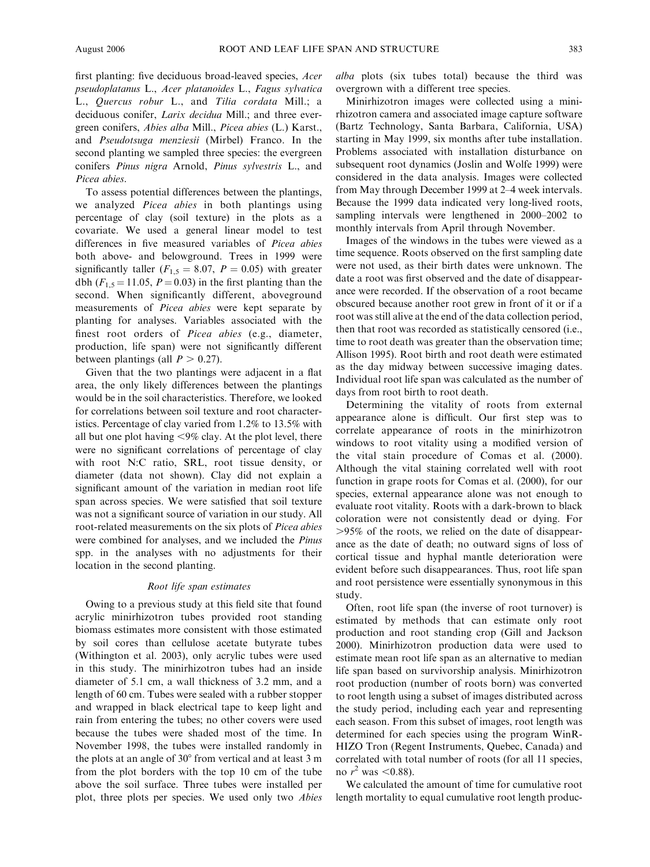first planting: five deciduous broad-leaved species, Acer pseudoplatanus L., Acer platanoides L., Fagus sylvatica L., Quercus robur L., and Tilia cordata Mill.; a deciduous conifer, Larix decidua Mill.; and three evergreen conifers, Abies alba Mill., Picea abies (L.) Karst., and Pseudotsuga menziesii (Mirbel) Franco. In the second planting we sampled three species: the evergreen conifers Pinus nigra Arnold, Pinus sylvestris L., and Picea abies.

To assess potential differences between the plantings, we analyzed Picea abies in both plantings using percentage of clay (soil texture) in the plots as a covariate. We used a general linear model to test differences in five measured variables of Picea abies both above- and belowground. Trees in 1999 were significantly taller ( $F_{1,5} = 8.07$ ,  $P = 0.05$ ) with greater dbh ( $F_{1,5} = 11.05$ ,  $P = 0.03$ ) in the first planting than the second. When significantly different, aboveground measurements of Picea abies were kept separate by planting for analyses. Variables associated with the finest root orders of Picea abies (e.g., diameter, production, life span) were not significantly different between plantings (all  $P > 0.27$ ).

Given that the two plantings were adjacent in a flat area, the only likely differences between the plantings would be in the soil characteristics. Therefore, we looked for correlations between soil texture and root characteristics. Percentage of clay varied from 1.2% to 13.5% with all but one plot having  $\leq$ 9% clay. At the plot level, there were no significant correlations of percentage of clay with root N:C ratio, SRL, root tissue density, or diameter (data not shown). Clay did not explain a significant amount of the variation in median root life span across species. We were satisfied that soil texture was not a significant source of variation in our study. All root-related measurements on the six plots of Picea abies were combined for analyses, and we included the Pinus spp. in the analyses with no adjustments for their location in the second planting.

#### Root life span estimates

Owing to a previous study at this field site that found acrylic minirhizotron tubes provided root standing biomass estimates more consistent with those estimated by soil cores than cellulose acetate butyrate tubes (Withington et al. 2003), only acrylic tubes were used in this study. The minirhizotron tubes had an inside diameter of 5.1 cm, a wall thickness of 3.2 mm, and a length of 60 cm. Tubes were sealed with a rubber stopper and wrapped in black electrical tape to keep light and rain from entering the tubes; no other covers were used because the tubes were shaded most of the time. In November 1998, the tubes were installed randomly in the plots at an angle of  $30^{\circ}$  from vertical and at least 3 m from the plot borders with the top 10 cm of the tube above the soil surface. Three tubes were installed per plot, three plots per species. We used only two Abies alba plots (six tubes total) because the third was overgrown with a different tree species.

Minirhizotron images were collected using a minirhizotron camera and associated image capture software (Bartz Technology, Santa Barbara, California, USA) starting in May 1999, six months after tube installation. Problems associated with installation disturbance on subsequent root dynamics (Joslin and Wolfe 1999) were considered in the data analysis. Images were collected from May through December 1999 at 2–4 week intervals. Because the 1999 data indicated very long-lived roots, sampling intervals were lengthened in 2000–2002 to monthly intervals from April through November.

Images of the windows in the tubes were viewed as a time sequence. Roots observed on the first sampling date were not used, as their birth dates were unknown. The date a root was first observed and the date of disappearance were recorded. If the observation of a root became obscured because another root grew in front of it or if a root was still alive at the end of the data collection period, then that root was recorded as statistically censored (i.e., time to root death was greater than the observation time; Allison 1995). Root birth and root death were estimated as the day midway between successive imaging dates. Individual root life span was calculated as the number of days from root birth to root death.

Determining the vitality of roots from external appearance alone is difficult. Our first step was to correlate appearance of roots in the minirhizotron windows to root vitality using a modified version of the vital stain procedure of Comas et al. (2000). Although the vital staining correlated well with root function in grape roots for Comas et al. (2000), for our species, external appearance alone was not enough to evaluate root vitality. Roots with a dark-brown to black coloration were not consistently dead or dying. For .95% of the roots, we relied on the date of disappearance as the date of death; no outward signs of loss of cortical tissue and hyphal mantle deterioration were evident before such disappearances. Thus, root life span and root persistence were essentially synonymous in this study.

Often, root life span (the inverse of root turnover) is estimated by methods that can estimate only root production and root standing crop (Gill and Jackson 2000). Minirhizotron production data were used to estimate mean root life span as an alternative to median life span based on survivorship analysis. Minirhizotron root production (number of roots born) was converted to root length using a subset of images distributed across the study period, including each year and representing each season. From this subset of images, root length was determined for each species using the program WinR-HIZO Tron (Regent Instruments, Quebec, Canada) and correlated with total number of roots (for all 11 species, no  $r^2$  was <0.88).

We calculated the amount of time for cumulative root length mortality to equal cumulative root length produc-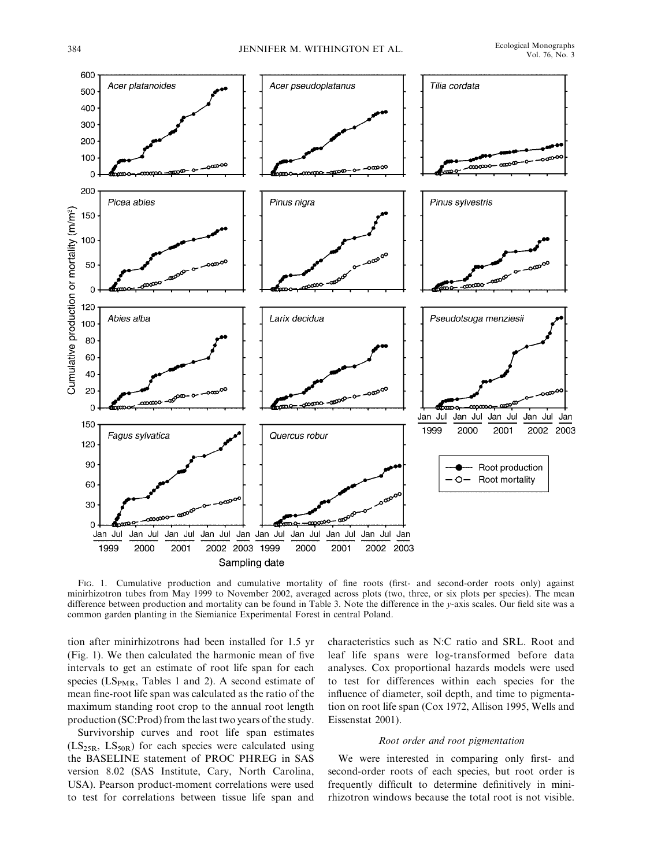

FIG. 1. Cumulative production and cumulative mortality of fine roots (first- and second-order roots only) against minirhizotron tubes from May 1999 to November 2002, averaged across plots (two, three, or six plots per species). The mean difference between production and mortality can be found in Table 3. Note the difference in the y-axis scales. Our field site was a common garden planting in the Siemianice Experimental Forest in central Poland.

tion after minirhizotrons had been installed for 1.5 yr (Fig. 1). We then calculated the harmonic mean of five intervals to get an estimate of root life span for each species ( $LS_{PMR}$ , Tables 1 and 2). A second estimate of mean fine-root life span was calculated as the ratio of the maximum standing root crop to the annual root length production (SC:Prod) from the last two years of the study.

Survivorship curves and root life span estimates  $(LS<sub>25R</sub>, LS<sub>50R</sub>)$  for each species were calculated using the BASELINE statement of PROC PHREG in SAS version 8.02 (SAS Institute, Cary, North Carolina, USA). Pearson product-moment correlations were used to test for correlations between tissue life span and characteristics such as N:C ratio and SRL. Root and leaf life spans were log-transformed before data analyses. Cox proportional hazards models were used to test for differences within each species for the influence of diameter, soil depth, and time to pigmentation on root life span (Cox 1972, Allison 1995, Wells and Eissenstat 2001).

## Root order and root pigmentation

We were interested in comparing only first- and second-order roots of each species, but root order is frequently difficult to determine definitively in minirhizotron windows because the total root is not visible.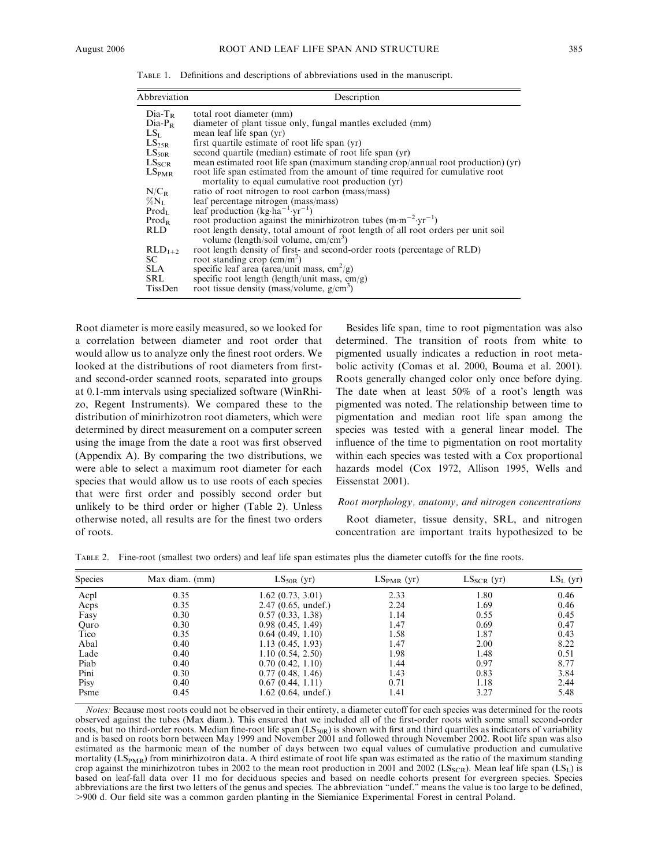TABLE 1. Definitions and descriptions of abbreviations used in the manuscript.

| Abbreviation   | Description                                                                       |
|----------------|-----------------------------------------------------------------------------------|
| $Dia-T_R$      | total root diameter (mm)                                                          |
| $Dia-P_R$      | diameter of plant tissue only, fungal mantles excluded (mm)                       |
| $LS_{L}$       | mean leaf life span (yr)                                                          |
| $LS_{25R}$     | first quartile estimate of root life span (yr)                                    |
| $LS_{50R}$     | second quartile (median) estimate of root life span (yr)                          |
| $LS_{SCR}$     | mean estimated root life span (maximum standing crop/annual root production) (yr) |
| $LS_{\rm PMR}$ | root life span estimated from the amount of time required for cumulative root     |
|                | mortality to equal cumulative root production (yr)                                |
| $N/C_R$        | ratio of root nitrogen to root carbon (mass/mass)                                 |
| $\%N_{L}$      | leaf percentage nitrogen (mass/mass)                                              |
| $Prod_{I}$     | leaf production $(kg \cdot ha^{-1} \cdot yr^{-1})$                                |
| $Prod_{R}$     | root production against the minimizotron tubes $(m \cdot m^{-2} \cdot yr^{-1})$   |
| RLD            | root length density, total amount of root length of all root orders per unit soil |
|                | volume (length/soil volume, $cm/cm3$ )                                            |
| $RLD_{1+2}$    | root length density of first- and second-order roots (percentage of RLD)          |
| SC             | root standing crop $\text{(cm/m}^2\text{)}$                                       |
| <b>SLA</b>     | specific leaf area (area/unit mass, $\text{cm}^2/\text{g}$ )                      |
| <b>SRL</b>     | specific root length (length/unit mass, $cm/g$ )                                  |
| TissDen        | root tissue density (mass/volume, $g/cm3$ )                                       |

Root diameter is more easily measured, so we looked for a correlation between diameter and root order that would allow us to analyze only the finest root orders. We looked at the distributions of root diameters from firstand second-order scanned roots, separated into groups at 0.1-mm intervals using specialized software (WinRhizo, Regent Instruments). We compared these to the distribution of minirhizotron root diameters, which were determined by direct measurement on a computer screen using the image from the date a root was first observed (Appendix A). By comparing the two distributions, we were able to select a maximum root diameter for each species that would allow us to use roots of each species that were first order and possibly second order but unlikely to be third order or higher (Table 2). Unless otherwise noted, all results are for the finest two orders of roots.

Besides life span, time to root pigmentation was also determined. The transition of roots from white to pigmented usually indicates a reduction in root metabolic activity (Comas et al. 2000, Bouma et al. 2001). Roots generally changed color only once before dying. The date when at least 50% of a root's length was pigmented was noted. The relationship between time to pigmentation and median root life span among the species was tested with a general linear model. The influence of the time to pigmentation on root mortality within each species was tested with a Cox proportional hazards model (Cox 1972, Allison 1995, Wells and Eissenstat 2001).

#### Root morphology, anatomy, and nitrogen concentrations

Root diameter, tissue density, SRL, and nitrogen concentration are important traits hypothesized to be

TABLE 2. Fine-root (smallest two orders) and leaf life span estimates plus the diameter cutoffs for the fine roots.

| Species | Max diam. (mm) | $LS50R$ (yr)          | $LSPMR$ (yr) | $LS_{SCR}$ (yr) | $LS_{L}$ (yr) |
|---------|----------------|-----------------------|--------------|-----------------|---------------|
| Acpl    | 0.35           | 1.62(0.73, 3.01)      | 2.33         | 1.80            | 0.46          |
| Acps    | 0.35           | $2.47$ (0.65, undef.) | 2.24         | 1.69            | 0.46          |
| Fasy    | 0.30           | 0.57(0.33, 1.38)      | 1.14         | 0.55            | 0.45          |
| Quro    | 0.30           | 0.98(0.45, 1.49)      | 1.47         | 0.69            | 0.47          |
| Tico    | 0.35           | 0.64(0.49, 1.10)      | 1.58         | 1.87            | 0.43          |
| Abal    | 0.40           | 1.13(0.45, 1.93)      | 1.47         | 2.00            | 8.22          |
| Lade    | 0.40           | 1.10(0.54, 2.50)      | 1.98         | 1.48            | 0.51          |
| Piab    | 0.40           | 0.70(0.42, 1.10)      | 1.44         | 0.97            | 8.77          |
| Pini    | 0.30           | 0.77(0.48, 1.46)      | 1.43         | 0.83            | 3.84          |
| Pisy    | 0.40           | 0.67(0.44, 1.11)      | 0.71         | 1.18            | 2.44          |
| Psme    | 0.45           | $1.62$ (0.64, undef.) | 1.41         | 3.27            | 5.48          |

Notes: Because most roots could not be observed in their entirety, a diameter cutoff for each species was determined for the roots observed against the tubes (Max diam.). This ensured that we included all of the first-order roots with some small second-order roots, but no third-order roots. Median fine-root life span  $(LS<sub>50R</sub>)$  is shown with first and third quartiles as indicators of variability and is based on roots born between May 1999 and November 2001 and followed through November 2002. Root life span was also estimated as the harmonic mean of the number of days between two equal values of cumulative production and cumulative mortality  $(LS_{PMR})$  from minirhizotron data. A third estimate of root life span was estimated as the ratio of the maximum standing crop against the minirhizotron tubes in 2002 to the mean root production in 2001 and 2002 ( $LS_{SCR}$ ). Mean leaf life span ( $LS_L$ ) is based on leaf-fall data over 11 mo for deciduous species and based on needle cohorts present for evergreen species. Species abbreviations are the first two letters of the genus and species. The abbreviation ''undef.'' means the value is too large to be defined, .900 d. Our field site was a common garden planting in the Siemianice Experimental Forest in central Poland.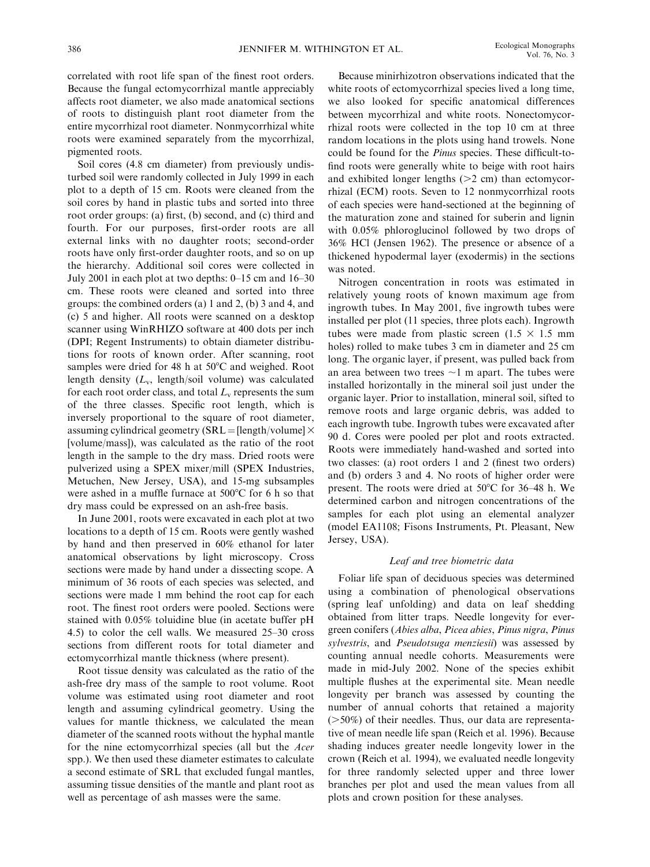correlated with root life span of the finest root orders. Because the fungal ectomycorrhizal mantle appreciably affects root diameter, we also made anatomical sections of roots to distinguish plant root diameter from the entire mycorrhizal root diameter. Nonmycorrhizal white roots were examined separately from the mycorrhizal, pigmented roots.

Soil cores (4.8 cm diameter) from previously undisturbed soil were randomly collected in July 1999 in each plot to a depth of 15 cm. Roots were cleaned from the soil cores by hand in plastic tubs and sorted into three root order groups: (a) first, (b) second, and (c) third and fourth. For our purposes, first-order roots are all external links with no daughter roots; second-order roots have only first-order daughter roots, and so on up the hierarchy. Additional soil cores were collected in July 2001 in each plot at two depths: 0–15 cm and 16–30 cm. These roots were cleaned and sorted into three groups: the combined orders (a) 1 and 2, (b) 3 and 4, and (c) 5 and higher. All roots were scanned on a desktop scanner using WinRHIZO software at 400 dots per inch (DPI; Regent Instruments) to obtain diameter distributions for roots of known order. After scanning, root samples were dried for 48 h at  $50^{\circ}$ C and weighed. Root length density  $(L_v, \text{ length}/\text{solid volume})$  was calculated for each root order class, and total  $L<sub>v</sub>$  represents the sum of the three classes. Specific root length, which is inversely proportional to the square of root diameter, assuming cylindrical geometry ( $SRL = \text{[length/volume]} \times$ [volume/mass]), was calculated as the ratio of the root length in the sample to the dry mass. Dried roots were pulverized using a SPEX mixer/mill (SPEX Industries, Metuchen, New Jersey, USA), and 15-mg subsamples were ashed in a muffle furnace at  $500^{\circ}$ C for 6 h so that dry mass could be expressed on an ash-free basis.

In June 2001, roots were excavated in each plot at two locations to a depth of 15 cm. Roots were gently washed by hand and then preserved in 60% ethanol for later anatomical observations by light microscopy. Cross sections were made by hand under a dissecting scope. A minimum of 36 roots of each species was selected, and sections were made 1 mm behind the root cap for each root. The finest root orders were pooled. Sections were stained with 0.05% toluidine blue (in acetate buffer pH 4.5) to color the cell walls. We measured 25–30 cross sections from different roots for total diameter and ectomycorrhizal mantle thickness (where present).

Root tissue density was calculated as the ratio of the ash-free dry mass of the sample to root volume. Root volume was estimated using root diameter and root length and assuming cylindrical geometry. Using the values for mantle thickness, we calculated the mean diameter of the scanned roots without the hyphal mantle for the nine ectomycorrhizal species (all but the Acer spp.). We then used these diameter estimates to calculate a second estimate of SRL that excluded fungal mantles, assuming tissue densities of the mantle and plant root as well as percentage of ash masses were the same.

Because minirhizotron observations indicated that the white roots of ectomycorrhizal species lived a long time, we also looked for specific anatomical differences between mycorrhizal and white roots. Nonectomycorrhizal roots were collected in the top 10 cm at three random locations in the plots using hand trowels. None could be found for the Pinus species. These difficult-tofind roots were generally white to beige with root hairs and exhibited longer lengths  $(>= 2$  cm) than ectomycorrhizal (ECM) roots. Seven to 12 nonmycorrhizal roots of each species were hand-sectioned at the beginning of the maturation zone and stained for suberin and lignin with 0.05% phloroglucinol followed by two drops of 36% HCl (Jensen 1962). The presence or absence of a thickened hypodermal layer (exodermis) in the sections was noted.

Nitrogen concentration in roots was estimated in relatively young roots of known maximum age from ingrowth tubes. In May 2001, five ingrowth tubes were installed per plot (11 species, three plots each). Ingrowth tubes were made from plastic screen  $(1.5 \times 1.5 \text{ mm})$ holes) rolled to make tubes 3 cm in diameter and 25 cm long. The organic layer, if present, was pulled back from an area between two trees  $\sim$ 1 m apart. The tubes were installed horizontally in the mineral soil just under the organic layer. Prior to installation, mineral soil, sifted to remove roots and large organic debris, was added to each ingrowth tube. Ingrowth tubes were excavated after 90 d. Cores were pooled per plot and roots extracted. Roots were immediately hand-washed and sorted into two classes: (a) root orders 1 and 2 (finest two orders) and (b) orders 3 and 4. No roots of higher order were present. The roots were dried at  $50^{\circ}$ C for  $36-48$  h. We determined carbon and nitrogen concentrations of the samples for each plot using an elemental analyzer (model EA1108; Fisons Instruments, Pt. Pleasant, New Jersey, USA).

## Leaf and tree biometric data

Foliar life span of deciduous species was determined using a combination of phenological observations (spring leaf unfolding) and data on leaf shedding obtained from litter traps. Needle longevity for evergreen conifers (Abies alba, Picea abies, Pinus nigra, Pinus sylvestris, and Pseudotsuga menziesii) was assessed by counting annual needle cohorts. Measurements were made in mid-July 2002. None of the species exhibit multiple flushes at the experimental site. Mean needle longevity per branch was assessed by counting the number of annual cohorts that retained a majority  $(>=50\%)$  of their needles. Thus, our data are representative of mean needle life span (Reich et al. 1996). Because shading induces greater needle longevity lower in the crown (Reich et al. 1994), we evaluated needle longevity for three randomly selected upper and three lower branches per plot and used the mean values from all plots and crown position for these analyses.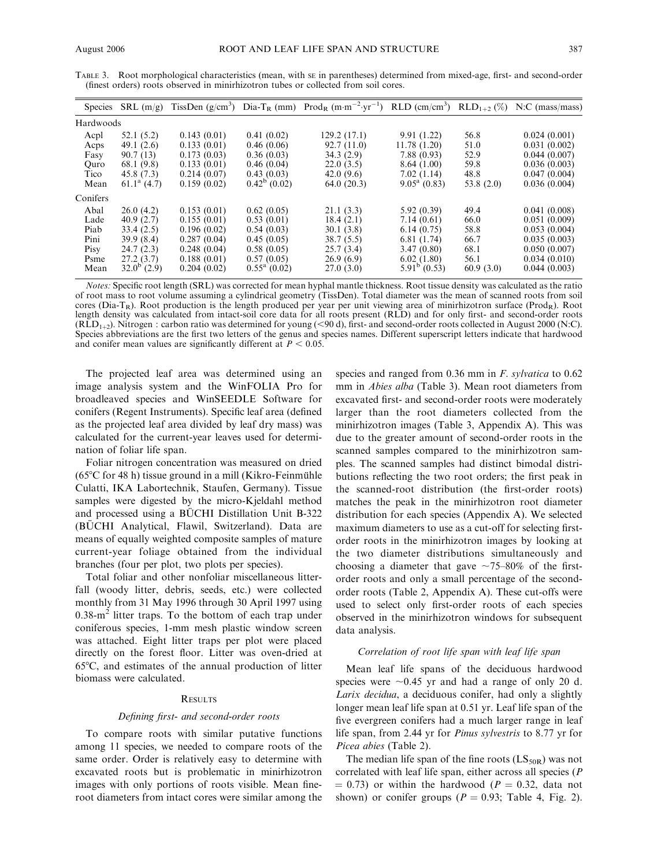| Species   |                  |             |                       | SRL $(m/g)$ TissDen $(g/cm^3)$ Dia-T <sub>R</sub> (mm) Prod <sub>R</sub> $(m \cdot m^{-2} \cdot yr^{-1})$ RLD $(cm/cm^3)$ RLD <sub>1+2</sub> (%) N:C (mass/mass) |                          |              |              |
|-----------|------------------|-------------|-----------------------|------------------------------------------------------------------------------------------------------------------------------------------------------------------|--------------------------|--------------|--------------|
| Hardwoods |                  |             |                       |                                                                                                                                                                  |                          |              |              |
| Acpl      | 52.1(5.2)        | 0.143(0.01) | 0.41(0.02)            | 129.2(17.1)                                                                                                                                                      | 9.91(1.22)               | 56.8         | 0.024(0.001) |
| Acps      | 49.1(2.6)        | 0.133(0.01) | 0.46(0.06)            | 92.7(11.0)                                                                                                                                                       | 11.78(1.20)              | 51.0         | 0.031(0.002) |
| Fasy      | 90.7(13)         | 0.173(0.03) | 0.36(0.03)            | 34.3(2.9)                                                                                                                                                        | 7.88(0.93)               | 52.9         | 0.044(0.007) |
| Ouro      | 68.1 (9.8)       | 0.133(0.01) | 0.46(0.04)            | 22.0(3.5)                                                                                                                                                        | 8.64 (1.00)              | 59.8         | 0.036(0.003) |
| Tico      | 45.8(7.3)        | 0.214(0.07) | 0.43(0.03)            | 42.0(9.6)                                                                                                                                                        | 7.02(1.14)               | 48.8         | 0.047(0.004) |
| Mean      | $61.1^a$ (4.7)   | 0.159(0.02) | $0.42^b(0.02)$        | 64.0(20.3)                                                                                                                                                       | $9.05^{\rm a}$ (0.83)    | 53.8 $(2.0)$ | 0.036(0.004) |
| Conifers  |                  |             |                       |                                                                                                                                                                  |                          |              |              |
| Abal      | 26.0(4.2)        | 0.153(0.01) | 0.62(0.05)            | 21.1(3.3)                                                                                                                                                        | 5.92 (0.39)              | 49.4         | 0.041(0.008) |
| Lade      | 40.9(2.7)        | 0.155(0.01) | 0.53(0.01)            | 18.4(2.1)                                                                                                                                                        | 7.14(0.61)               | 66.0         | 0.051(0.009) |
| Piab      | 33.4(2.5)        | 0.196(0.02) | 0.54(0.03)            | 30.1(3.8)                                                                                                                                                        | 6.14(0.75)               | 58.8         | 0.053(0.004) |
| Pini      | 39.9(8.4)        | 0.287(0.04) | 0.45(0.05)            | 38.7(5.5)                                                                                                                                                        | 6.81(1.74)               | 66.7         | 0.035(0.003) |
| Pisy      | 24.7(2.3)        | 0.248(0.04) | 0.58(0.05)            | 25.7(3.4)                                                                                                                                                        | 3.47(0.80)               | 68.1         | 0.050(0.007) |
| Psme      | 27.2(3.7)        | 0.188(0.01) | 0.57(0.05)            | 26.9(6.9)                                                                                                                                                        | 6.02(1.80)               | 56.1         | 0.034(0.010) |
| Mean      | $32.0^{b}$ (2.9) | 0.204(0.02) | $0.55^{\rm a}$ (0.02) | 27.0(3.0)                                                                                                                                                        | 5.91 <sup>b</sup> (0.53) | 60.9(3.0)    | 0.044(0.003) |

TABLE 3. Root morphological characteristics (mean, with SE in parentheses) determined from mixed-age, first- and second-order (finest orders) roots observed in minirhizotron tubes or collected from soil cores.

Notes: Specific root length (SRL) was corrected for mean hyphal mantle thickness. Root tissue density was calculated as the ratio of root mass to root volume assuming a cylindrical geometry (TissDen). Total diameter was the mean of scanned roots from soil cores (Dia-T<sub>R</sub>). Root production is the length produced per year per unit viewing area of minirhizotron surface (Prod<sub>R</sub>). Root length density was calculated from intact-soil core data for all roots present (RLD) and for only first- and second-order roots  $(RLD_{1+2})$ . Nitrogen : carbon ratio was determined for young (<90 d), first- and second-order roots collected in August 2000 (N:C). Species abbreviations are the first two letters of the genus and species names. Different superscript letters indicate that hardwood and conifer mean values are significantly different at  $P < 0.05$ .

The projected leaf area was determined using an image analysis system and the WinFOLIA Pro for broadleaved species and WinSEEDLE Software for conifers (Regent Instruments). Specific leaf area (defined as the projected leaf area divided by leaf dry mass) was calculated for the current-year leaves used for determination of foliar life span.

Foliar nitrogen concentration was measured on dried  $(65^{\circ}$ C for 48 h) tissue ground in a mill (Kikro-Feinmühle Culatti, IKA Labortechnik, Staufen, Germany). Tissue samples were digested by the micro-Kjeldahl method and processed using a BÜCHI Distillation Unit B-322 (BU¨CHI Analytical, Flawil, Switzerland). Data are means of equally weighted composite samples of mature current-year foliage obtained from the individual branches (four per plot, two plots per species).

Total foliar and other nonfoliar miscellaneous litterfall (woody litter, debris, seeds, etc.) were collected monthly from 31 May 1996 through 30 April 1997 using  $0.38\text{-m}^2$  litter traps. To the bottom of each trap under coniferous species, 1-mm mesh plastic window screen was attached. Eight litter traps per plot were placed directly on the forest floor. Litter was oven-dried at  $65^{\circ}$ C, and estimates of the annual production of litter biomass were calculated.

#### **RESULTS**

#### Defining first- and second-order roots

To compare roots with similar putative functions among 11 species, we needed to compare roots of the same order. Order is relatively easy to determine with excavated roots but is problematic in minirhizotron images with only portions of roots visible. Mean fineroot diameters from intact cores were similar among the species and ranged from 0.36 mm in F. sylvatica to 0.62 mm in Abies alba (Table 3). Mean root diameters from excavated first- and second-order roots were moderately larger than the root diameters collected from the minirhizotron images (Table 3, Appendix A). This was due to the greater amount of second-order roots in the scanned samples compared to the minirhizotron samples. The scanned samples had distinct bimodal distributions reflecting the two root orders; the first peak in the scanned-root distribution (the first-order roots) matches the peak in the minirhizotron root diameter distribution for each species (Appendix A). We selected maximum diameters to use as a cut-off for selecting firstorder roots in the minirhizotron images by looking at the two diameter distributions simultaneously and choosing a diameter that gave  $\sim$ 75–80% of the firstorder roots and only a small percentage of the secondorder roots (Table 2, Appendix A). These cut-offs were used to select only first-order roots of each species observed in the minirhizotron windows for subsequent data analysis.

## Correlation of root life span with leaf life span

Mean leaf life spans of the deciduous hardwood species were  $\sim$ 0.45 yr and had a range of only 20 d. Larix decidua, a deciduous conifer, had only a slightly longer mean leaf life span at 0.51 yr. Leaf life span of the five evergreen conifers had a much larger range in leaf life span, from 2.44 yr for Pinus sylvestris to 8.77 yr for Picea abies (Table 2).

The median life span of the fine roots  $(LS<sub>50R</sub>)$  was not correlated with leaf life span, either across all species  $(P)$  $(1.73)$  or within the hardwood ( $P = 0.32$ , data not shown) or conifer groups ( $P = 0.93$ ; Table 4, Fig. 2).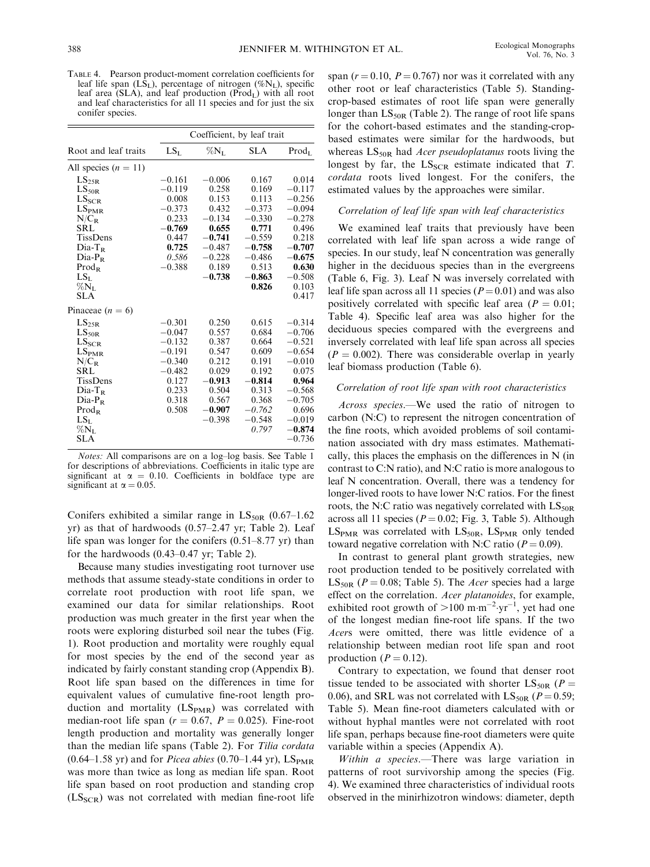Vol. 76, No. 3

TABLE 4. Pearson product-moment correlation coefficients for leaf life span ( $L\bar{S}_L$ ), percentage of nitrogen (% $N_L$ ), specific leaf area (SLA), and leaf production (Prod<sub>L</sub>) with all root and leaf characteristics for all 11 species and for just the six conifer species.

|                                     | Coefficient, by leaf trait |             |            |                   |  |
|-------------------------------------|----------------------------|-------------|------------|-------------------|--|
| Root and leaf traits                | LS <sub>L</sub>            | $\%\rm N_L$ | <b>SLA</b> | Prod <sub>L</sub> |  |
| All species $(n = 11)$              |                            |             |            |                   |  |
| $LS_{25R}$                          | $-0.161$                   | $-0.006$    | 0.167      | 0.014             |  |
| $\mathrm{LS}_{50R}$                 | $-0.119$                   | 0.258       | 0.169      | $-0.117$          |  |
| $\mathrm{L}\mathrm{S}_\mathrm{SCR}$ | 0.008                      | 0.153       | 0.113      | $-0.256$          |  |
| LS <sub>PMR</sub>                   | $-0.373$                   | 0.432       | $-0.373$   | $-0.094$          |  |
| $N/C_R$                             | 0.233                      | $-0.134$    | $-0.330$   | $-0.278$          |  |
| <b>SRL</b>                          | $-0.769$                   | 0.655       | 0.771      | 0.496             |  |
| TissDens                            | 0.447                      | $-0.741$    | $-0.559$   | 0.218             |  |
| $Dia-TB$                            | 0.725                      | $-0.487$    | $-0.758$   | $-0.707$          |  |
| $Dia-P_R$                           | 0.586                      | $-0.228$    | $-0.486$   | $-0.675$          |  |
| $Prod_{R}$                          | $-0.388$                   | 0.189       | 0.513      | 0.630             |  |
| $\rm LS_L$                          |                            | $-0.738$    | $-0.863$   | $-0.508$          |  |
| $\%\rm N_L$                         |                            |             | 0.826      | 0.103             |  |
| SLA                                 |                            |             |            | 0.417             |  |
| Pinaceae $(n = 6)$                  |                            |             |            |                   |  |
| $\mathrm{LS}_{25R}$                 | $-0.301$                   | 0.250       | 0.615      | $-0.314$          |  |
| $\mathrm{LS_{50R}}$                 | $-0.047$                   | 0.557       | 0.684      | $-0.706$          |  |
| $\mathrm{L}\mathrm{S}_\mathrm{SCR}$ | $-0.132$                   | 0.387       | 0.664      | $-0.521$          |  |
| LS <sub>PMR</sub>                   | $-0.191$                   | 0.547       | 0.609      | $-0.654$          |  |
| $N/C_R$                             | $-0.340$                   | 0.212       | 0.191      | $-0.010$          |  |
| <b>SRL</b>                          | $-0.482$                   | 0.029       | 0.192      | 0.075             |  |
| TissDens                            | 0.127                      | $-0.913$    | $-0.814$   | 0.964             |  |
| $Dia-T_{R}$                         | 0.233                      | 0.504       | 0.313      | $-0.568$          |  |
| $Dia-P_R$                           | 0.318                      | 0.567       | 0.368      | $-0.705$          |  |
| $Prod_{R}$                          | 0.508                      | $-0.907$    | $-0.762$   | 0.696             |  |
| $LS_L$                              |                            | $-0.398$    | $-0.548$   | $-0.019$          |  |
| $\%\rm N_L$                         |                            |             | 0.797      | $-0.874$          |  |
| SLA                                 |                            |             |            | $-0.736$          |  |

Notes: All comparisons are on a log–log basis. See Table 1 for descriptions of abbreviations. Coefficients in italic type are significant at  $\alpha = 0.10$ . Coefficients in boldface type are significant at  $\alpha = 0.05$ .

Conifers exhibited a similar range in  $LS<sub>50R</sub>$  (0.67–1.62) yr) as that of hardwoods (0.57–2.47 yr; Table 2). Leaf life span was longer for the conifers (0.51–8.77 yr) than for the hardwoods (0.43–0.47 yr; Table 2).

Because many studies investigating root turnover use methods that assume steady-state conditions in order to correlate root production with root life span, we examined our data for similar relationships. Root production was much greater in the first year when the roots were exploring disturbed soil near the tubes (Fig. 1). Root production and mortality were roughly equal for most species by the end of the second year as indicated by fairly constant standing crop (Appendix B). Root life span based on the differences in time for equivalent values of cumulative fine-root length production and mortality  $(LS_{PMR})$  was correlated with median-root life span ( $r = 0.67$ ,  $P = 0.025$ ). Fine-root length production and mortality was generally longer than the median life spans (Table 2). For Tilia cordata  $(0.64-1.58 \text{ yr})$  and for *Picea abies*  $(0.70-1.44 \text{ yr})$ , LS<sub>PMR</sub> was more than twice as long as median life span. Root life span based on root production and standing crop  $(LS_{SCR})$  was not correlated with median fine-root life span ( $r = 0.10$ ,  $P = 0.767$ ) nor was it correlated with any other root or leaf characteristics (Table 5). Standingcrop-based estimates of root life span were generally longer than  $LS<sub>50R</sub>$  (Table 2). The range of root life spans for the cohort-based estimates and the standing-cropbased estimates were similar for the hardwoods, but whereas  $LS<sub>50R</sub>$  had *Acer pseudoplatanus* roots living the longest by far, the  $LS_{SCR}$  estimate indicated that  $T$ . cordata roots lived longest. For the conifers, the estimated values by the approaches were similar.

#### Correlation of leaf life span with leaf characteristics

We examined leaf traits that previously have been correlated with leaf life span across a wide range of species. In our study, leaf N concentration was generally higher in the deciduous species than in the evergreens (Table 6, Fig. 3). Leaf N was inversely correlated with leaf life span across all 11 species ( $P = 0.01$ ) and was also positively correlated with specific leaf area ( $P = 0.01$ ; Table 4). Specific leaf area was also higher for the deciduous species compared with the evergreens and inversely correlated with leaf life span across all species  $(P = 0.002)$ . There was considerable overlap in yearly leaf biomass production (Table 6).

#### Correlation of root life span with root characteristics

Across species.—We used the ratio of nitrogen to carbon (N:C) to represent the nitrogen concentration of the fine roots, which avoided problems of soil contamination associated with dry mass estimates. Mathematically, this places the emphasis on the differences in N (in contrast to C:N ratio), and N:C ratio is more analogous to leaf N concentration. Overall, there was a tendency for longer-lived roots to have lower N:C ratios. For the finest roots, the N:C ratio was negatively correlated with  $LS<sub>50R</sub>$ across all 11 species ( $P = 0.02$ ; Fig. 3, Table 5). Although  $LS<sub>PMR</sub>$  was correlated with  $LS<sub>50R</sub>$ ,  $LS<sub>PMR</sub>$  only tended toward negative correlation with N:C ratio ( $P = 0.09$ ).

In contrast to general plant growth strategies, new root production tended to be positively correlated with  $LS<sub>50R</sub>$  ( $P = 0.08$ ; Table 5). The *Acer* species had a large effect on the correlation. Acer platanoides, for example, exhibited root growth of  $>100 \text{ m} \cdot \text{m}^{-2} \cdot \text{yr}^{-1}$ , yet had one of the longest median fine-root life spans. If the two Acers were omitted, there was little evidence of a relationship between median root life span and root production ( $P = 0.12$ ).

Contrary to expectation, we found that denser root tissue tended to be associated with shorter  $LS_{50R}$  ( $P =$ 0.06), and SRL was not correlated with  $LS<sub>50R</sub>$  ( $P = 0.59$ ; Table 5). Mean fine-root diameters calculated with or without hyphal mantles were not correlated with root life span, perhaps because fine-root diameters were quite variable within a species (Appendix A).

Within a species.—There was large variation in patterns of root survivorship among the species (Fig. 4). We examined three characteristics of individual roots observed in the minirhizotron windows: diameter, depth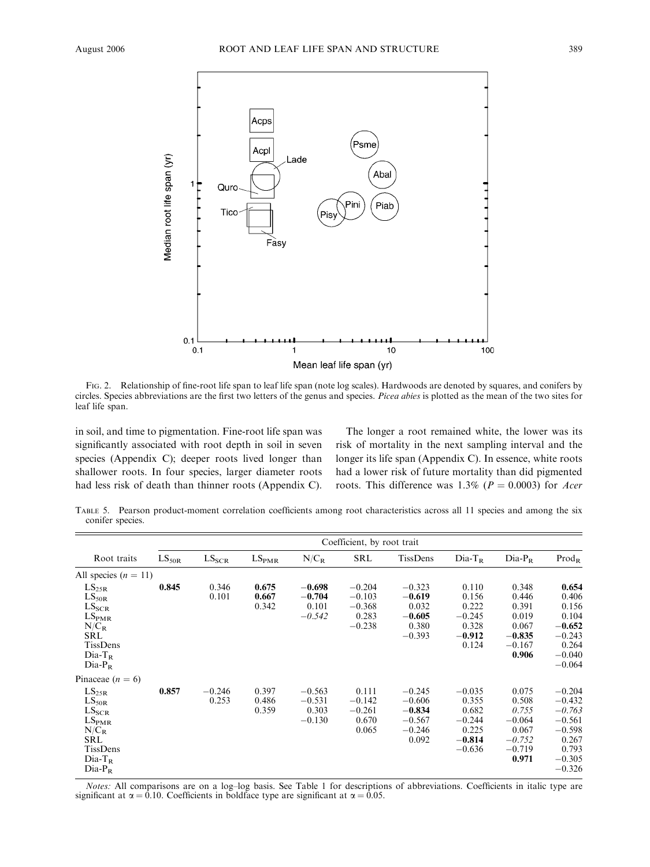

FIG. 2. Relationship of fine-root life span to leaf life span (note log scales). Hardwoods are denoted by squares, and conifers by circles. Species abbreviations are the first two letters of the genus and species. Picea abies is plotted as the mean of the two sites for leaf life span.

in soil, and time to pigmentation. Fine-root life span was significantly associated with root depth in soil in seven species (Appendix C); deeper roots lived longer than shallower roots. In four species, larger diameter roots had less risk of death than thinner roots (Appendix C).

The longer a root remained white, the lower was its risk of mortality in the next sampling interval and the longer its life span (Appendix C). In essence, white roots had a lower risk of future mortality than did pigmented roots. This difference was 1.3% ( $P = 0.0003$ ) for Acer

TABLE 5. Pearson product-moment correlation coefficients among root characteristics across all 11 species and among the six conifer species.

|                                                                                                                                     |            |                   |                         |                                           | Coefficient, by root trait                            |                                                                   |                                                                         |                                                                               |                                                                                                    |
|-------------------------------------------------------------------------------------------------------------------------------------|------------|-------------------|-------------------------|-------------------------------------------|-------------------------------------------------------|-------------------------------------------------------------------|-------------------------------------------------------------------------|-------------------------------------------------------------------------------|----------------------------------------------------------------------------------------------------|
| Root traits                                                                                                                         | $LS_{50R}$ | $LS_{SCR}$        | LS <sub>PMR</sub>       | $N/C_R$                                   | <b>SRL</b>                                            | TissDens                                                          | $Dia-T_R$                                                               | $Dia-P_R$                                                                     | $Prod_R$                                                                                           |
| All species $(n = 11)$                                                                                                              |            |                   |                         |                                           |                                                       |                                                                   |                                                                         |                                                                               |                                                                                                    |
| $LS_{25R}$<br>$LS_{50R}$<br>$LS_{SCR}$<br>$LS_{\rm PMR}$<br>$N/C_R$<br><b>SRL</b><br><b>TissDens</b><br>$Dia-T_{R}$<br>$Dia-P_R$    | 0.845      | 0.346<br>0.101    | 0.675<br>0.667<br>0.342 | $-0.698$<br>$-0.704$<br>0.101<br>$-0.542$ | $-0.204$<br>$-0.103$<br>$-0.368$<br>0.283<br>$-0.238$ | $-0.323$<br>$-0.619$<br>0.032<br>$-0.605$<br>0.380<br>$-0.393$    | 0.110<br>0.156<br>0.222<br>$-0.245$<br>0.328<br>$-0.912$<br>0.124       | 0.348<br>0.446<br>0.391<br>0.019<br>0.067<br>$-0.835$<br>$-0.167$<br>0.906    | 0.654<br>0.406<br>0.156<br>0.104<br>$-0.652$<br>$-0.243$<br>0.264<br>$-0.040$<br>$-0.064$          |
| Pinaceae $(n = 6)$                                                                                                                  |            |                   |                         |                                           |                                                       |                                                                   |                                                                         |                                                                               |                                                                                                    |
| $LS_{25R}$<br>$LS_{50R}$<br>$LS_{SCR}$<br>LS <sub>PMR</sub><br>$N/C_R$<br><b>SRL</b><br><b>TissDens</b><br>$Dia-T_{R}$<br>$Dia-P_R$ | 0.857      | $-0.246$<br>0.253 | 0.397<br>0.486<br>0.359 | $-0.563$<br>$-0.531$<br>0.303<br>$-0.130$ | 0.111<br>$-0.142$<br>$-0.261$<br>0.670<br>0.065       | $-0.245$<br>$-0.606$<br>$-0.834$<br>$-0.567$<br>$-0.246$<br>0.092 | $-0.035$<br>0.355<br>0.682<br>$-0.244$<br>0.225<br>$-0.814$<br>$-0.636$ | 0.075<br>0.508<br>0.755<br>$-0.064$<br>0.067<br>$-0.752$<br>$-0.719$<br>0.971 | $-0.204$<br>$-0.432$<br>$-0.763$<br>$-0.561$<br>$-0.598$<br>0.267<br>0.793<br>$-0.305$<br>$-0.326$ |

Notes: All comparisons are on a log-log basis. See Table 1 for descriptions of abbreviations. Coefficients in italic type are significant at  $\alpha = 0.10$ . Coefficients in boldface type are significant at  $\alpha = 0.05$ .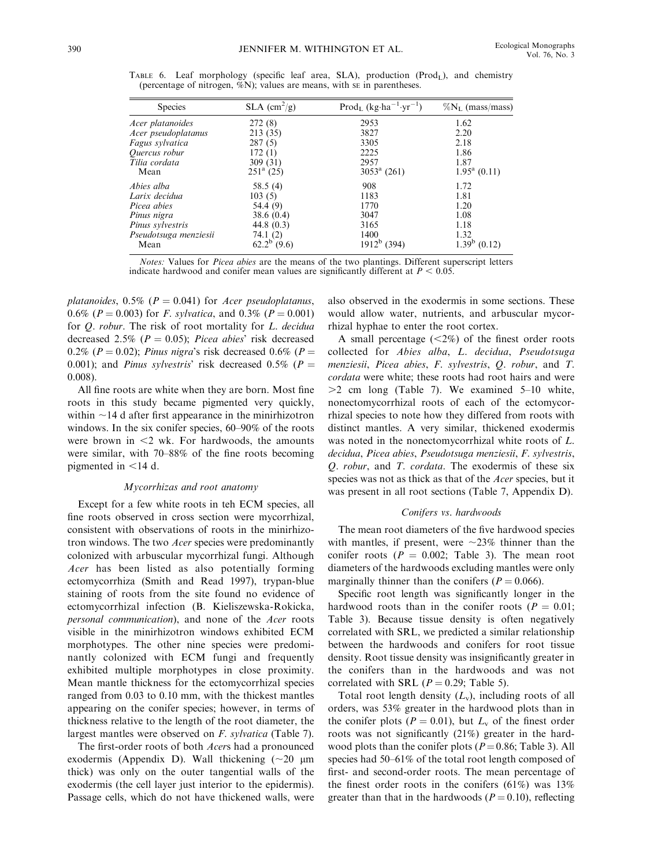| Species               | SLA $\text{(cm}^2\text{/g)}$ | Prod <sub>L</sub> (kg·ha <sup>-1</sup> ·yr <sup>-1</sup> ) | $\%$ N <sub>L</sub> (mass/mass) |
|-----------------------|------------------------------|------------------------------------------------------------|---------------------------------|
| Acer platanoides      | 272 (8)                      | 2953                                                       | 1.62                            |
| Acer pseudoplatanus   | 213 (35)                     | 3827                                                       | 2.20                            |
| Fagus sylvatica       | 287(5)                       | 3305                                                       | 2.18                            |
| Quercus robur         | 172(1)                       | 2225                                                       | 1.86                            |
| Tilia cordata         | 309 (31)                     | 2957                                                       | 1.87                            |
| Mean                  | $251^a$ (25)                 | $3053^{\rm a}$ (261)                                       | $1.95^{\mathrm{a}}$ (0.11)      |
| Abies alba            | 58.5 (4)                     | 908                                                        | 1.72                            |
| Larix decidua         | 103(5)                       | 1183                                                       | 1.81                            |
| Picea abies           | 54.4 (9)                     | 1770                                                       | 1.20                            |
| Pinus nigra           | 38.6(0.4)                    | 3047                                                       | 1.08                            |
| Pinus sylvestris      | 44.8 $(0.3)$                 | 3165                                                       | 1.18                            |
| Pseudotsuga menziesii | 74.1 (2)                     | 1400                                                       | 1.32                            |
| Mean                  | $62.2^b(9.6)$                | $1912^b$ (394)                                             | $1.39^{b}$<br>(0.12)            |

TABLE 6. Leaf morphology (specific leaf area, SLA), production ( $\text{Prod}_L$ ), and chemistry (percentage of nitrogen,  $\tilde{\%}$ N); values are means, with se in parentheses.

Notes: Values for Picea abies are the means of the two plantings. Different superscript letters indicate hardwood and conifer mean values are significantly different at  $P < 0.05$ .

platanoides, 0.5% ( $P = 0.041$ ) for Acer pseudoplatanus, 0.6% ( $P = 0.003$ ) for *F. sylvatica*, and 0.3% ( $P = 0.001$ ) for *O. robur*. The risk of root mortality for *L. decidua* decreased 2.5% ( $P = 0.05$ ); Picea abies' risk decreased 0.2% ( $P = 0.02$ ); Pinus nigra's risk decreased 0.6% ( $P =$ 0.001); and *Pinus sylvestris'* risk decreased 0.5% ( $P =$ 0.008).

All fine roots are white when they are born. Most fine roots in this study became pigmented very quickly, within  $\sim$ 14 d after first appearance in the minirhizotron windows. In the six conifer species, 60–90% of the roots were brown in  $\leq 2$  wk. For hardwoods, the amounts were similar, with 70–88% of the fine roots becoming pigmented in  $<$ 14 d.

#### Mycorrhizas and root anatomy

Except for a few white roots in teh ECM species, all fine roots observed in cross section were mycorrhizal, consistent with observations of roots in the minirhizotron windows. The two Acer species were predominantly colonized with arbuscular mycorrhizal fungi. Although Acer has been listed as also potentially forming ectomycorrhiza (Smith and Read 1997), trypan-blue staining of roots from the site found no evidence of ectomycorrhizal infection (B. Kieliszewska-Rokicka, personal communication), and none of the Acer roots visible in the minirhizotron windows exhibited ECM morphotypes. The other nine species were predominantly colonized with ECM fungi and frequently exhibited multiple morphotypes in close proximity. Mean mantle thickness for the ectomycorrhizal species ranged from 0.03 to 0.10 mm, with the thickest mantles appearing on the conifer species; however, in terms of thickness relative to the length of the root diameter, the largest mantles were observed on F. sylvatica (Table 7).

The first-order roots of both Acers had a pronounced exodermis (Appendix D). Wall thickening  $(\sim 20 \mu m)$ thick) was only on the outer tangential walls of the exodermis (the cell layer just interior to the epidermis). Passage cells, which do not have thickened walls, were also observed in the exodermis in some sections. These would allow water, nutrients, and arbuscular mycorrhizal hyphae to enter the root cortex.

A small percentage  $(<2\%)$  of the finest order roots collected for Abies alba, L. decidua, Pseudotsuga menziesii, Picea abies, F. sylvestris, Q. robur, and T. cordata were white; these roots had root hairs and were  $>2$  cm long (Table 7). We examined  $5-10$  white, nonectomycorrhizal roots of each of the ectomycorrhizal species to note how they differed from roots with distinct mantles. A very similar, thickened exodermis was noted in the nonectomycorrhizal white roots of L. decidua, Picea abies, Pseudotsuga menziesii, F. sylvestris, Q. robur, and T. cordata. The exodermis of these six species was not as thick as that of the *Acer* species, but it was present in all root sections (Table 7, Appendix D).

#### Conifers vs. hardwoods

The mean root diameters of the five hardwood species with mantles, if present, were  $\sim$ 23% thinner than the conifer roots ( $P = 0.002$ ; Table 3). The mean root diameters of the hardwoods excluding mantles were only marginally thinner than the conifers ( $P = 0.066$ ).

Specific root length was significantly longer in the hardwood roots than in the conifer roots ( $P = 0.01$ ; Table 3). Because tissue density is often negatively correlated with SRL, we predicted a similar relationship between the hardwoods and conifers for root tissue density. Root tissue density was insignificantly greater in the conifers than in the hardwoods and was not correlated with SRL ( $P = 0.29$ ; Table 5).

Total root length density  $(L_v)$ , including roots of all orders, was 53% greater in the hardwood plots than in the conifer plots ( $P = 0.01$ ), but  $L<sub>v</sub>$  of the finest order roots was not significantly (21%) greater in the hardwood plots than the conifer plots ( $P = 0.86$ ; Table 3). All species had 50–61% of the total root length composed of first- and second-order roots. The mean percentage of the finest order roots in the conifers  $(61%)$  was  $13%$ greater than that in the hardwoods ( $P = 0.10$ ), reflecting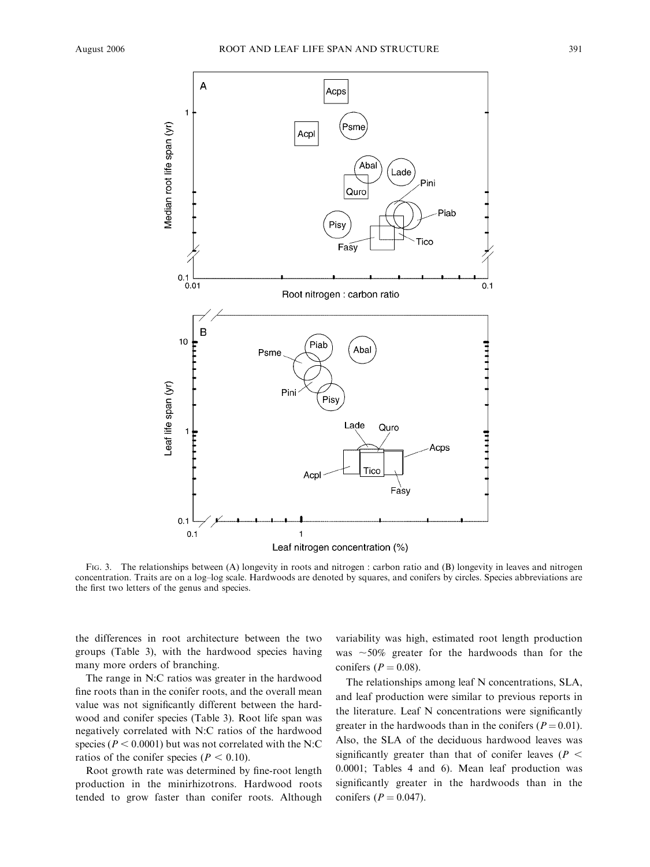

FIG. 3. The relationships between (A) longevity in roots and nitrogen : carbon ratio and (B) longevity in leaves and nitrogen concentration. Traits are on a log–log scale. Hardwoods are denoted by squares, and conifers by circles. Species abbreviations are the first two letters of the genus and species.

the differences in root architecture between the two groups (Table 3), with the hardwood species having many more orders of branching.

The range in N:C ratios was greater in the hardwood fine roots than in the conifer roots, and the overall mean value was not significantly different between the hardwood and conifer species (Table 3). Root life span was negatively correlated with N:C ratios of the hardwood species ( $P < 0.0001$ ) but was not correlated with the N:C ratios of the conifer species ( $P < 0.10$ ).

Root growth rate was determined by fine-root length production in the minirhizotrons. Hardwood roots tended to grow faster than conifer roots. Although

variability was high, estimated root length production was  $\sim$ 50% greater for the hardwoods than for the conifers ( $P = 0.08$ ).

The relationships among leaf N concentrations, SLA, and leaf production were similar to previous reports in the literature. Leaf N concentrations were significantly greater in the hardwoods than in the conifers ( $P = 0.01$ ). Also, the SLA of the deciduous hardwood leaves was significantly greater than that of conifer leaves ( $P <$ 0.0001; Tables 4 and 6). Mean leaf production was significantly greater in the hardwoods than in the conifers  $(P = 0.047)$ .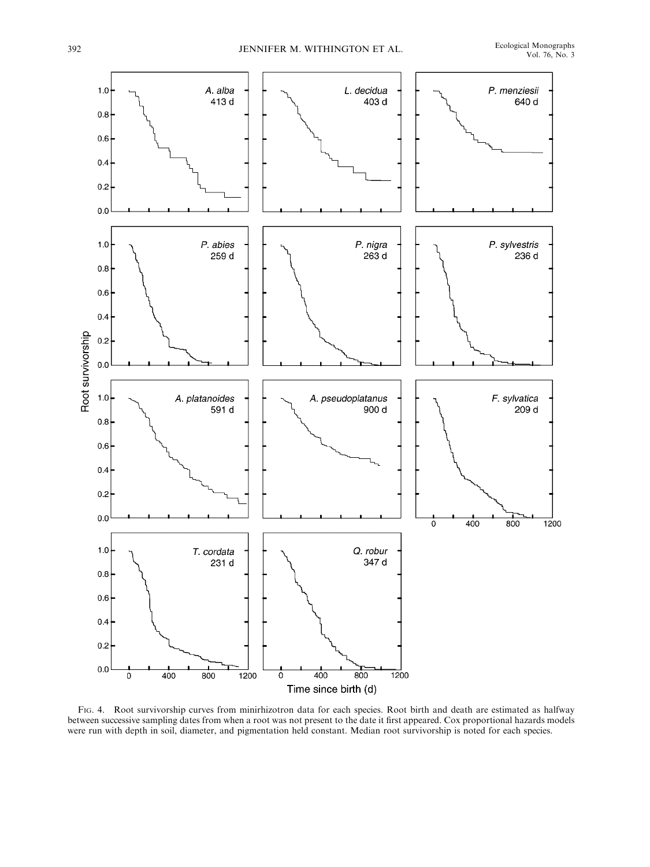

FIG. 4. Root survivorship curves from minirhizotron data for each species. Root birth and death are estimated as halfway between successive sampling dates from when a root was not present to the date it first appeared. Cox proportional hazards models were run with depth in soil, diameter, and pigmentation held constant. Median root survivorship is noted for each species.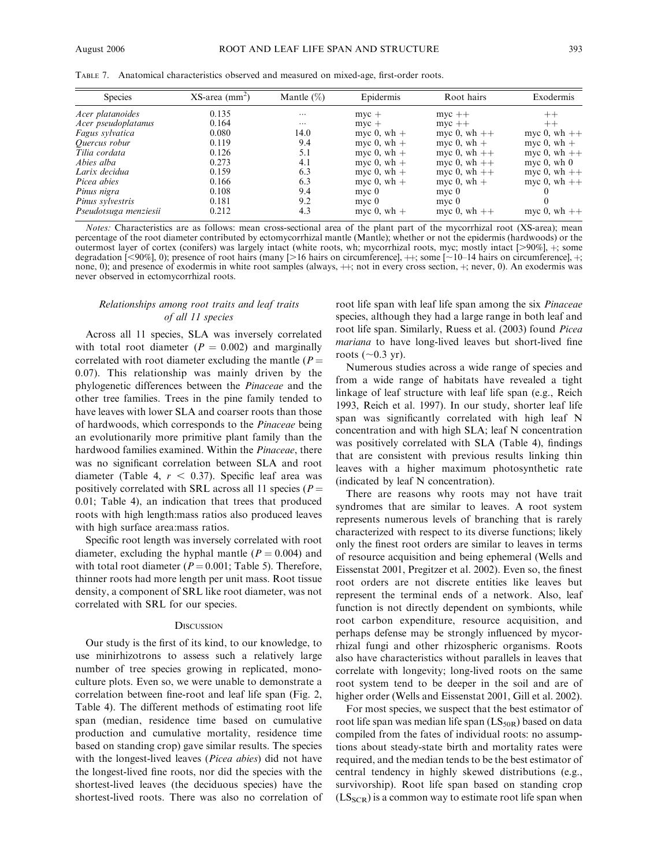| <b>Species</b>        | $XS$ -area (mm <sup>2</sup> ) | Mantle $(\%)$ | Epidermis     | Root hairs     | Exodermis        |
|-----------------------|-------------------------------|---------------|---------------|----------------|------------------|
| Acer platanoides      | 0.135                         | $\cdots$      | $myc +$       | $myc$ ++       | $^{++}$          |
| Acer pseudoplatanus   | 0.164                         | $\cdots$      | $myc +$       | $myc$ ++       | $^{++}$          |
| Fagus sylvatica       | 0.080                         | 14.0          | myc 0, wh $+$ | myc 0, wh $++$ | myc 0, wh $++$   |
| Quercus robur         | 0.119                         | 9.4           | myc 0, wh $+$ | myc 0, wh $+$  | myc 0, wh $+$    |
| Tilia cordata         | 0.126                         | 5.1           | myc 0, wh $+$ | myc 0, wh $++$ | myc 0, wh $++$   |
| Abies alba            | 0.273                         | 4.1           | myc 0, wh $+$ | myc 0, wh $++$ | myc $0$ , wh $0$ |
| Larix decidua         | 0.159                         | 6.3           | myc 0, wh $+$ | myc 0, wh $++$ | myc 0, wh $++$   |
| Picea abies           | 0.166                         | 6.3           | myc 0, wh $+$ | myc 0, wh $+$  | myc 0, wh $++$   |
| Pinus nigra           | 0.108                         | 9.4           | $myc$ 0       | $myc$ 0        |                  |
| Pinus sylvestris      | 0.181                         | 9.2           | $mvc$ 0       | $myc$ 0        |                  |
| Pseudotsuga menziesii | 0.212                         | 4.3           | myc 0, wh $+$ | myc 0, wh $++$ | myc 0, wh $++$   |

TABLE 7. Anatomical characteristics observed and measured on mixed-age, first-order roots.

Notes: Characteristics are as follows: mean cross-sectional area of the plant part of the mycorrhizal root (XS-area); mean percentage of the root diameter contributed by ectomycorrhizal mantle (Mantle); whether or not the epidermis (hardwoods) or the outermost layer of cortex (conifers) was largely intact (white roots, wh; mycorrhizal roots, myc; mostly intact [>90%], +; some degradation  $[< 90\%]$ , 0); presence of root hairs (many  $[> 16$  hairs on circumference],  $\leftrightarrow$ ; some  $[> 10-14$  hairs on circumference],  $\leftrightarrow$ ; none, 0); and presence of exodermis in white root samples (always,  $+$ ; not in every cross section, +; never, 0). An exodermis was never observed in ectomycorrhizal roots.

# Relationships among root traits and leaf traits of all 11 species

Across all 11 species, SLA was inversely correlated with total root diameter ( $P = 0.002$ ) and marginally correlated with root diameter excluding the mantle ( $P =$ 0.07). This relationship was mainly driven by the phylogenetic differences between the Pinaceae and the other tree families. Trees in the pine family tended to have leaves with lower SLA and coarser roots than those of hardwoods, which corresponds to the Pinaceae being an evolutionarily more primitive plant family than the hardwood families examined. Within the Pinaceae, there was no significant correlation between SLA and root diameter (Table 4,  $r < 0.37$ ). Specific leaf area was positively correlated with SRL across all 11 species ( $P =$ 0.01; Table 4), an indication that trees that produced roots with high length:mass ratios also produced leaves with high surface area:mass ratios.

Specific root length was inversely correlated with root diameter, excluding the hyphal mantle ( $P = 0.004$ ) and with total root diameter ( $P = 0.001$ ; Table 5). Therefore, thinner roots had more length per unit mass. Root tissue density, a component of SRL like root diameter, was not correlated with SRL for our species.

#### DISCUSSION

Our study is the first of its kind, to our knowledge, to use minirhizotrons to assess such a relatively large number of tree species growing in replicated, monoculture plots. Even so, we were unable to demonstrate a correlation between fine-root and leaf life span (Fig. 2, Table 4). The different methods of estimating root life span (median, residence time based on cumulative production and cumulative mortality, residence time based on standing crop) gave similar results. The species with the longest-lived leaves (Picea abies) did not have the longest-lived fine roots, nor did the species with the shortest-lived leaves (the deciduous species) have the shortest-lived roots. There was also no correlation of root life span with leaf life span among the six Pinaceae species, although they had a large range in both leaf and root life span. Similarly, Ruess et al. (2003) found Picea mariana to have long-lived leaves but short-lived fine roots  $(\sim 0.3$  yr).

Numerous studies across a wide range of species and from a wide range of habitats have revealed a tight linkage of leaf structure with leaf life span (e.g., Reich 1993, Reich et al. 1997). In our study, shorter leaf life span was significantly correlated with high leaf N concentration and with high SLA; leaf N concentration was positively correlated with SLA (Table 4), findings that are consistent with previous results linking thin leaves with a higher maximum photosynthetic rate (indicated by leaf N concentration).

There are reasons why roots may not have trait syndromes that are similar to leaves. A root system represents numerous levels of branching that is rarely characterized with respect to its diverse functions; likely only the finest root orders are similar to leaves in terms of resource acquisition and being ephemeral (Wells and Eissenstat 2001, Pregitzer et al. 2002). Even so, the finest root orders are not discrete entities like leaves but represent the terminal ends of a network. Also, leaf function is not directly dependent on symbionts, while root carbon expenditure, resource acquisition, and perhaps defense may be strongly influenced by mycorrhizal fungi and other rhizospheric organisms. Roots also have characteristics without parallels in leaves that correlate with longevity; long-lived roots on the same root system tend to be deeper in the soil and are of higher order (Wells and Eissenstat 2001, Gill et al. 2002).

For most species, we suspect that the best estimator of root life span was median life span  $(LS<sub>50R</sub>)$  based on data compiled from the fates of individual roots: no assumptions about steady-state birth and mortality rates were required, and the median tends to be the best estimator of central tendency in highly skewed distributions (e.g., survivorship). Root life span based on standing crop  $(LS_{SCR})$  is a common way to estimate root life span when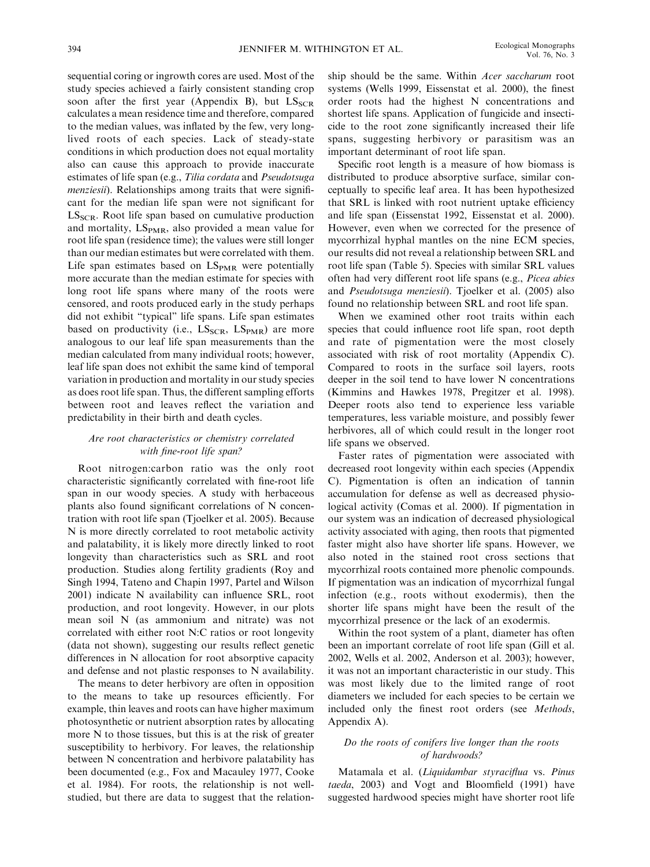sequential coring or ingrowth cores are used. Most of the study species achieved a fairly consistent standing crop soon after the first year (Appendix B), but  $LS_{SCR}$ calculates a mean residence time and therefore, compared to the median values, was inflated by the few, very longlived roots of each species. Lack of steady-state conditions in which production does not equal mortality also can cause this approach to provide inaccurate estimates of life span (e.g., Tilia cordata and Pseudotsuga menziesii). Relationships among traits that were significant for the median life span were not significant for  $LS<sub>SCR</sub>$ . Root life span based on cumulative production and mortality,  $LS<sub>PMR</sub>$ , also provided a mean value for root life span (residence time); the values were still longer than our median estimates but were correlated with them. Life span estimates based on  $LS_{PMR}$  were potentially more accurate than the median estimate for species with long root life spans where many of the roots were censored, and roots produced early in the study perhaps did not exhibit ''typical'' life spans. Life span estimates based on productivity (i.e.,  $LS_{SCR}$ ,  $LS_{PMR}$ ) are more analogous to our leaf life span measurements than the median calculated from many individual roots; however, leaf life span does not exhibit the same kind of temporal variation in production and mortality in our study species as does root life span. Thus, the different sampling efforts between root and leaves reflect the variation and predictability in their birth and death cycles.

## Are root characteristics or chemistry correlated with fine-root life span?

Root nitrogen:carbon ratio was the only root characteristic significantly correlated with fine-root life span in our woody species. A study with herbaceous plants also found significant correlations of N concentration with root life span (Tjoelker et al. 2005). Because N is more directly correlated to root metabolic activity and palatability, it is likely more directly linked to root longevity than characteristics such as SRL and root production. Studies along fertility gradients (Roy and Singh 1994, Tateno and Chapin 1997, Partel and Wilson 2001) indicate N availability can influence SRL, root production, and root longevity. However, in our plots mean soil N (as ammonium and nitrate) was not correlated with either root N:C ratios or root longevity (data not shown), suggesting our results reflect genetic differences in N allocation for root absorptive capacity and defense and not plastic responses to N availability.

The means to deter herbivory are often in opposition to the means to take up resources efficiently. For example, thin leaves and roots can have higher maximum photosynthetic or nutrient absorption rates by allocating more N to those tissues, but this is at the risk of greater susceptibility to herbivory. For leaves, the relationship between N concentration and herbivore palatability has been documented (e.g., Fox and Macauley 1977, Cooke et al. 1984). For roots, the relationship is not wellstudied, but there are data to suggest that the relationship should be the same. Within Acer saccharum root systems (Wells 1999, Eissenstat et al. 2000), the finest order roots had the highest N concentrations and shortest life spans. Application of fungicide and insecticide to the root zone significantly increased their life spans, suggesting herbivory or parasitism was an important determinant of root life span.

Specific root length is a measure of how biomass is distributed to produce absorptive surface, similar conceptually to specific leaf area. It has been hypothesized that SRL is linked with root nutrient uptake efficiency and life span (Eissenstat 1992, Eissenstat et al. 2000). However, even when we corrected for the presence of mycorrhizal hyphal mantles on the nine ECM species, our results did not reveal a relationship between SRL and root life span (Table 5). Species with similar SRL values often had very different root life spans (e.g., Picea abies and Pseudotsuga menziesii). Tjoelker et al. (2005) also found no relationship between SRL and root life span.

When we examined other root traits within each species that could influence root life span, root depth and rate of pigmentation were the most closely associated with risk of root mortality (Appendix C). Compared to roots in the surface soil layers, roots deeper in the soil tend to have lower N concentrations (Kimmins and Hawkes 1978, Pregitzer et al. 1998). Deeper roots also tend to experience less variable temperatures, less variable moisture, and possibly fewer herbivores, all of which could result in the longer root life spans we observed.

Faster rates of pigmentation were associated with decreased root longevity within each species (Appendix C). Pigmentation is often an indication of tannin accumulation for defense as well as decreased physiological activity (Comas et al. 2000). If pigmentation in our system was an indication of decreased physiological activity associated with aging, then roots that pigmented faster might also have shorter life spans. However, we also noted in the stained root cross sections that mycorrhizal roots contained more phenolic compounds. If pigmentation was an indication of mycorrhizal fungal infection (e.g., roots without exodermis), then the shorter life spans might have been the result of the mycorrhizal presence or the lack of an exodermis.

Within the root system of a plant, diameter has often been an important correlate of root life span (Gill et al. 2002, Wells et al. 2002, Anderson et al. 2003); however, it was not an important characteristic in our study. This was most likely due to the limited range of root diameters we included for each species to be certain we included only the finest root orders (see Methods, Appendix A).

## Do the roots of conifers live longer than the roots of hardwoods?

Matamala et al. (Liquidambar styraciflua vs. Pinus taeda, 2003) and Vogt and Bloomfield (1991) have suggested hardwood species might have shorter root life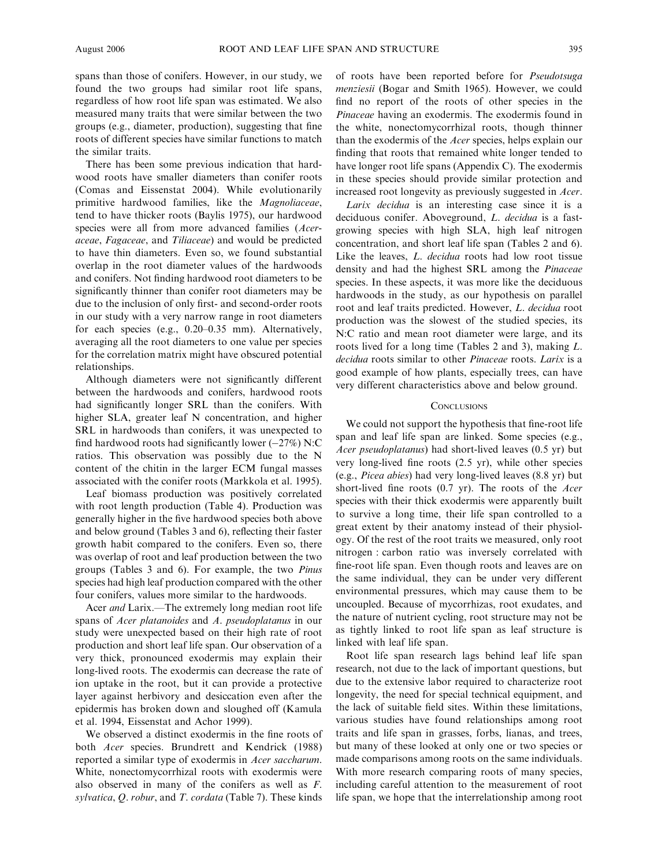spans than those of conifers. However, in our study, we found the two groups had similar root life spans, regardless of how root life span was estimated. We also measured many traits that were similar between the two groups (e.g., diameter, production), suggesting that fine roots of different species have similar functions to match the similar traits.

There has been some previous indication that hardwood roots have smaller diameters than conifer roots (Comas and Eissenstat 2004). While evolutionarily primitive hardwood families, like the Magnoliaceae, tend to have thicker roots (Baylis 1975), our hardwood species were all from more advanced families (Aceraceae, Fagaceae, and Tiliaceae) and would be predicted to have thin diameters. Even so, we found substantial overlap in the root diameter values of the hardwoods and conifers. Not finding hardwood root diameters to be significantly thinner than conifer root diameters may be due to the inclusion of only first- and second-order roots in our study with a very narrow range in root diameters for each species (e.g., 0.20–0.35 mm). Alternatively, averaging all the root diameters to one value per species for the correlation matrix might have obscured potential relationships.

Although diameters were not significantly different between the hardwoods and conifers, hardwood roots had significantly longer SRL than the conifers. With higher SLA, greater leaf N concentration, and higher SRL in hardwoods than conifers, it was unexpected to find hardwood roots had significantly lower  $(-27%)$  N:C ratios. This observation was possibly due to the N content of the chitin in the larger ECM fungal masses associated with the conifer roots (Markkola et al. 1995).

Leaf biomass production was positively correlated with root length production (Table 4). Production was generally higher in the five hardwood species both above and below ground (Tables 3 and 6), reflecting their faster growth habit compared to the conifers. Even so, there was overlap of root and leaf production between the two groups (Tables 3 and 6). For example, the two Pinus species had high leaf production compared with the other four conifers, values more similar to the hardwoods.

Acer and Larix.—The extremely long median root life spans of Acer platanoides and A. pseudoplatanus in our study were unexpected based on their high rate of root production and short leaf life span. Our observation of a very thick, pronounced exodermis may explain their long-lived roots. The exodermis can decrease the rate of ion uptake in the root, but it can provide a protective layer against herbivory and desiccation even after the epidermis has broken down and sloughed off (Kamula et al. 1994, Eissenstat and Achor 1999).

We observed a distinct exodermis in the fine roots of both Acer species. Brundrett and Kendrick (1988) reported a similar type of exodermis in Acer saccharum. White, nonectomycorrhizal roots with exodermis were also observed in many of the conifers as well as F. sylvatica, Q. robur, and T. cordata (Table 7). These kinds of roots have been reported before for Pseudotsuga menziesii (Bogar and Smith 1965). However, we could find no report of the roots of other species in the Pinaceae having an exodermis. The exodermis found in the white, nonectomycorrhizal roots, though thinner than the exodermis of the Acer species, helps explain our finding that roots that remained white longer tended to have longer root life spans (Appendix C). The exodermis in these species should provide similar protection and increased root longevity as previously suggested in Acer.

Larix decidua is an interesting case since it is a deciduous conifer. Aboveground, L. decidua is a fastgrowing species with high SLA, high leaf nitrogen concentration, and short leaf life span (Tables 2 and 6). Like the leaves, *L. decidua* roots had low root tissue density and had the highest SRL among the Pinaceae species. In these aspects, it was more like the deciduous hardwoods in the study, as our hypothesis on parallel root and leaf traits predicted. However, L. decidua root production was the slowest of the studied species, its N:C ratio and mean root diameter were large, and its roots lived for a long time (Tables 2 and 3), making L. decidua roots similar to other Pinaceae roots. Larix is a good example of how plants, especially trees, can have very different characteristics above and below ground.

## **CONCLUSIONS**

We could not support the hypothesis that fine-root life span and leaf life span are linked. Some species (e.g., Acer pseudoplatanus) had short-lived leaves (0.5 yr) but very long-lived fine roots (2.5 yr), while other species (e.g., Picea abies) had very long-lived leaves (8.8 yr) but short-lived fine roots (0.7 yr). The roots of the Acer species with their thick exodermis were apparently built to survive a long time, their life span controlled to a great extent by their anatomy instead of their physiology. Of the rest of the root traits we measured, only root nitrogen : carbon ratio was inversely correlated with fine-root life span. Even though roots and leaves are on the same individual, they can be under very different environmental pressures, which may cause them to be uncoupled. Because of mycorrhizas, root exudates, and the nature of nutrient cycling, root structure may not be as tightly linked to root life span as leaf structure is linked with leaf life span.

Root life span research lags behind leaf life span research, not due to the lack of important questions, but due to the extensive labor required to characterize root longevity, the need for special technical equipment, and the lack of suitable field sites. Within these limitations, various studies have found relationships among root traits and life span in grasses, forbs, lianas, and trees, but many of these looked at only one or two species or made comparisons among roots on the same individuals. With more research comparing roots of many species, including careful attention to the measurement of root life span, we hope that the interrelationship among root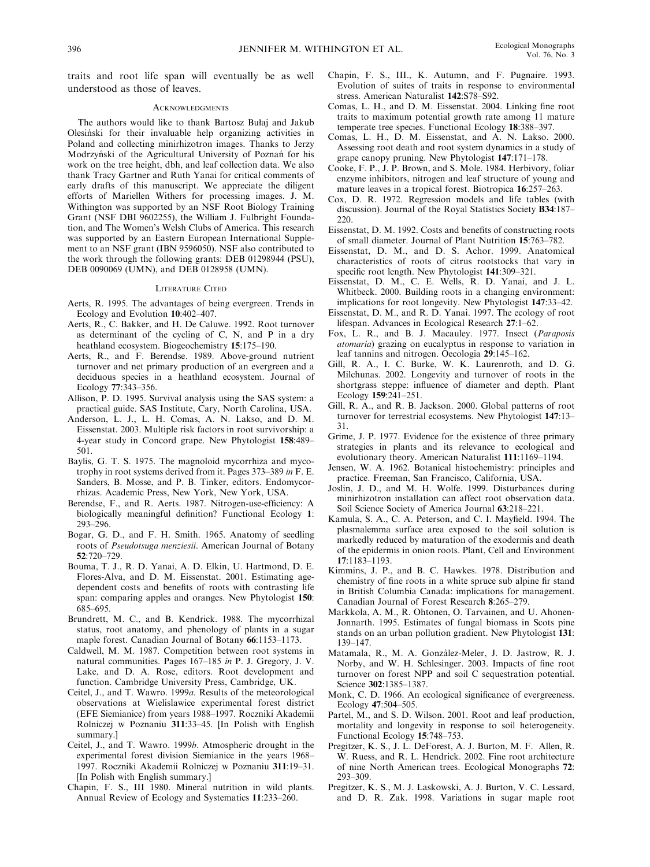traits and root life span will eventually be as well understood as those of leaves.

#### ACKNOWLEDGMENTS

The authors would like to thank Bartosz Bułaj and Jakub Olesiński for their invaluable help organizing activities in Poland and collecting minirhizotron images. Thanks to Jerzy Modrzyński of the Agricultural University of Poznań for his work on the tree height, dbh, and leaf collection data. We also thank Tracy Gartner and Ruth Yanai for critical comments of early drafts of this manuscript. We appreciate the diligent efforts of Mariellen Withers for processing images. J. M. Withington was supported by an NSF Root Biology Training Grant (NSF DBI 9602255), the William J. Fulbright Foundation, and The Women's Welsh Clubs of America. This research was supported by an Eastern European International Supplement to an NSF grant (IBN 9596050). NSF also contributed to the work through the following grants: DEB 01298944 (PSU), DEB 0090069 (UMN), and DEB 0128958 (UMN).

#### LITERATURE CITED

- Aerts, R. 1995. The advantages of being evergreen. Trends in Ecology and Evolution 10:402–407.
- Aerts, R., C. Bakker, and H. De Caluwe. 1992. Root turnover as determinant of the cycling of C, N, and P in a dry heathland ecosystem. Biogeochemistry 15:175–190.
- Aerts, R., and F. Berendse. 1989. Above-ground nutrient turnover and net primary production of an evergreen and a deciduous species in a heathland ecosystem. Journal of Ecology 77:343–356.
- Allison, P. D. 1995. Survival analysis using the SAS system: a practical guide. SAS Institute, Cary, North Carolina, USA.
- Anderson, L. J., L. H. Comas, A. N. Lakso, and D. M. Eissenstat. 2003. Multiple risk factors in root survivorship: a 4-year study in Concord grape. New Phytologist 158:489– 501.
- Baylis, G. T. S. 1975. The magnoloid mycorrhiza and mycotrophy in root systems derived from it. Pages 373–389 in F. E. Sanders, B. Mosse, and P. B. Tinker, editors. Endomycorrhizas. Academic Press, New York, New York, USA.
- Berendse, F., and R. Aerts. 1987. Nitrogen-use-efficiency: A biologically meaningful definition? Functional Ecology 1: 293–296.
- Bogar, G. D., and F. H. Smith. 1965. Anatomy of seedling roots of Pseudotsuga menziesii. American Journal of Botany 52:720–729.
- Bouma, T. J., R. D. Yanai, A. D. Elkin, U. Hartmond, D. E. Flores-Alva, and D. M. Eissenstat. 2001. Estimating agedependent costs and benefits of roots with contrasting life span: comparing apples and oranges. New Phytologist 150: 685–695.
- Brundrett, M. C., and B. Kendrick. 1988. The mycorrhizal status, root anatomy, and phenology of plants in a sugar maple forest. Canadian Journal of Botany 66:1153–1173.
- Caldwell, M. M. 1987. Competition between root systems in natural communities. Pages 167–185 in P. J. Gregory, J. V. Lake, and D. A. Rose, editors. Root development and function. Cambridge University Press, Cambridge, UK.
- Ceitel, J., and T. Wawro. 1999a. Results of the meteorological observations at Wielislawice experimental forest district (EFE Siemianice) from years 1988–1997. Roczniki Akademii Rolniczej w Poznaniu 311:33–45. [In Polish with English summary.]
- Ceitel, J., and T. Wawro. 1999b. Atmospheric drought in the experimental forest division Siemianice in the years 1968– 1997. Roczniki Akademii Rolniczej w Poznaniu 311:19–31. [In Polish with English summary.]
- Chapin, F. S., III 1980. Mineral nutrition in wild plants. Annual Review of Ecology and Systematics 11:233–260.
- Chapin, F. S., III., K. Autumn, and F. Pugnaire. 1993. Evolution of suites of traits in response to environmental stress. American Naturalist 142:S78–S92.
- Comas, L. H., and D. M. Eissenstat. 2004. Linking fine root traits to maximum potential growth rate among 11 mature temperate tree species. Functional Ecology 18:388–397.
- Comas, L. H., D. M. Eissenstat, and A. N. Lakso. 2000. Assessing root death and root system dynamics in a study of grape canopy pruning. New Phytologist 147:171–178.
- Cooke, F. P., J. P. Brown, and S. Mole. 1984. Herbivory, foliar enzyme inhibitors, nitrogen and leaf structure of young and mature leaves in a tropical forest. Biotropica 16:257–263.
- Cox, D. R. 1972. Regression models and life tables (with discussion). Journal of the Royal Statistics Society B34:187– 220.
- Eissenstat, D. M. 1992. Costs and benefits of constructing roots of small diameter. Journal of Plant Nutrition 15:763–782.
- Eissenstat, D. M., and D. S. Achor. 1999. Anatomical characteristics of roots of citrus rootstocks that vary in specific root length. New Phytologist 141:309-321.
- Eissenstat, D. M., C. E. Wells, R. D. Yanai, and J. L. Whitbeck. 2000. Building roots in a changing environment: implications for root longevity. New Phytologist 147:33–42.
- Eissenstat, D. M., and R. D. Yanai. 1997. The ecology of root lifespan. Advances in Ecological Research 27:1–62.
- Fox, L. R., and B. J. Macauley. 1977. Insect (Paraposis atomaria) grazing on eucalyptus in response to variation in leaf tannins and nitrogen. Oecologia 29:145–162.
- Gill, R. A., I. C. Burke, W. K. Laurenroth, and D. G. Milchunas. 2002. Longevity and turnover of roots in the shortgrass steppe: influence of diameter and depth. Plant Ecology 159:241–251.
- Gill, R. A., and R. B. Jackson. 2000. Global patterns of root turnover for terrestrial ecosystems. New Phytologist 147:13– 31.
- Grime, J. P. 1977. Evidence for the existence of three primary strategies in plants and its relevance to ecological and evolutionary theory. American Naturalist 111:1169–1194.
- Jensen, W. A. 1962. Botanical histochemistry: principles and practice. Freeman, San Francisco, California, USA.
- Joslin, J. D., and M. H. Wolfe. 1999. Disturbances during minirhizotron installation can affect root observation data. Soil Science Society of America Journal 63:218–221.
- Kamula, S. A., C. A. Peterson, and C. I. Mayfield. 1994. The plasmalemma surface area exposed to the soil solution is markedly reduced by maturation of the exodermis and death of the epidermis in onion roots. Plant, Cell and Environment 17:1183–1193.
- Kimmins, J. P., and B. C. Hawkes. 1978. Distribution and chemistry of fine roots in a white spruce sub alpine fir stand in British Columbia Canada: implications for management. Canadian Journal of Forest Research 8:265–279.
- Markkola, A. M., R. Ohtonen, O. Tarvainen, and U. Ahonen-Jonnarth. 1995. Estimates of fungal biomass in Scots pine stands on an urban pollution gradient. New Phytologist 131: 139–147.
- Matamala, R., M. A. Gonzàlez-Meler, J. D. Jastrow, R. J. Norby, and W. H. Schlesinger. 2003. Impacts of fine root turnover on forest NPP and soil C sequestration potential. Science 302:1385–1387.
- Monk, C. D. 1966. An ecological significance of evergreeness. Ecology 47:504–505.
- Partel, M., and S. D. Wilson. 2001. Root and leaf production, mortality and longevity in response to soil heterogeneity. Functional Ecology 15:748–753.
- Pregitzer, K. S., J. L. DeForest, A. J. Burton, M. F. Allen, R. W. Ruess, and R. L. Hendrick. 2002. Fine root architecture of nine North American trees. Ecological Monographs 72: 293–309.
- Pregitzer, K. S., M. J. Laskowski, A. J. Burton, V. C. Lessard, and D. R. Zak. 1998. Variations in sugar maple root